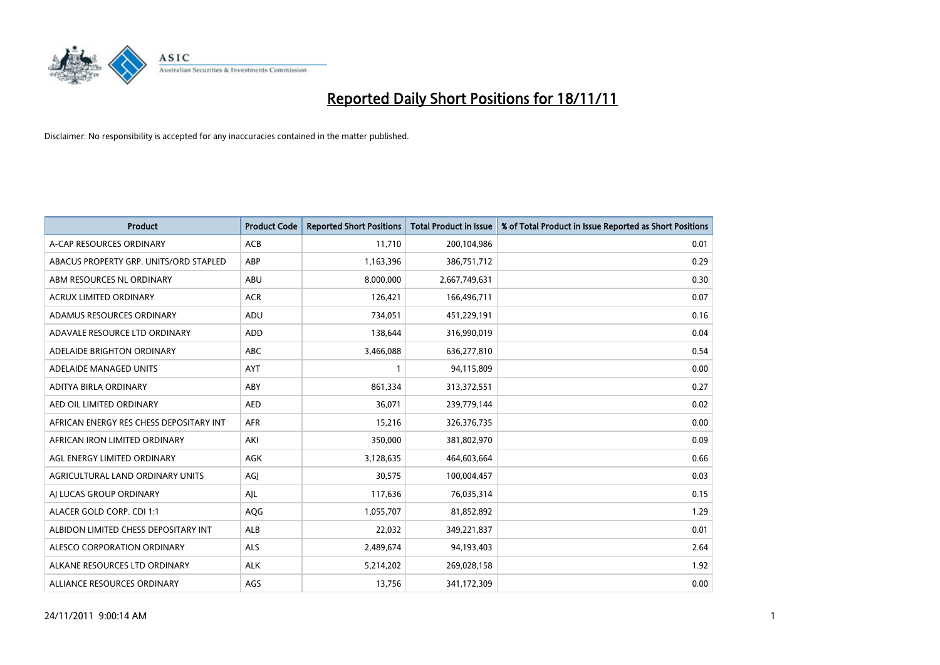

| <b>Product</b>                          | <b>Product Code</b> | <b>Reported Short Positions</b> | <b>Total Product in Issue</b> | % of Total Product in Issue Reported as Short Positions |
|-----------------------------------------|---------------------|---------------------------------|-------------------------------|---------------------------------------------------------|
| A-CAP RESOURCES ORDINARY                | <b>ACB</b>          | 11,710                          | 200,104,986                   | 0.01                                                    |
| ABACUS PROPERTY GRP. UNITS/ORD STAPLED  | ABP                 | 1,163,396                       | 386,751,712                   | 0.29                                                    |
| ABM RESOURCES NL ORDINARY               | ABU                 | 8,000,000                       | 2,667,749,631                 | 0.30                                                    |
| ACRUX LIMITED ORDINARY                  | <b>ACR</b>          | 126,421                         | 166,496,711                   | 0.07                                                    |
| ADAMUS RESOURCES ORDINARY               | ADU                 | 734,051                         | 451,229,191                   | 0.16                                                    |
| ADAVALE RESOURCE LTD ORDINARY           | <b>ADD</b>          | 138,644                         | 316,990,019                   | 0.04                                                    |
| ADELAIDE BRIGHTON ORDINARY              | <b>ABC</b>          | 3,466,088                       | 636,277,810                   | 0.54                                                    |
| ADELAIDE MANAGED UNITS                  | <b>AYT</b>          |                                 | 94,115,809                    | 0.00                                                    |
| ADITYA BIRLA ORDINARY                   | ABY                 | 861,334                         | 313,372,551                   | 0.27                                                    |
| AED OIL LIMITED ORDINARY                | <b>AED</b>          | 36,071                          | 239,779,144                   | 0.02                                                    |
| AFRICAN ENERGY RES CHESS DEPOSITARY INT | <b>AFR</b>          | 15,216                          | 326,376,735                   | 0.00                                                    |
| AFRICAN IRON LIMITED ORDINARY           | AKI                 | 350,000                         | 381,802,970                   | 0.09                                                    |
| AGL ENERGY LIMITED ORDINARY             | <b>AGK</b>          | 3,128,635                       | 464,603,664                   | 0.66                                                    |
| AGRICULTURAL LAND ORDINARY UNITS        | AGI                 | 30,575                          | 100,004,457                   | 0.03                                                    |
| AI LUCAS GROUP ORDINARY                 | AJL                 | 117,636                         | 76,035,314                    | 0.15                                                    |
| ALACER GOLD CORP. CDI 1:1               | <b>AQG</b>          | 1,055,707                       | 81,852,892                    | 1.29                                                    |
| ALBIDON LIMITED CHESS DEPOSITARY INT    | <b>ALB</b>          | 22,032                          | 349,221,837                   | 0.01                                                    |
| ALESCO CORPORATION ORDINARY             | <b>ALS</b>          | 2,489,674                       | 94,193,403                    | 2.64                                                    |
| ALKANE RESOURCES LTD ORDINARY           | <b>ALK</b>          | 5,214,202                       | 269,028,158                   | 1.92                                                    |
| ALLIANCE RESOURCES ORDINARY             | AGS                 | 13,756                          | 341,172,309                   | 0.00                                                    |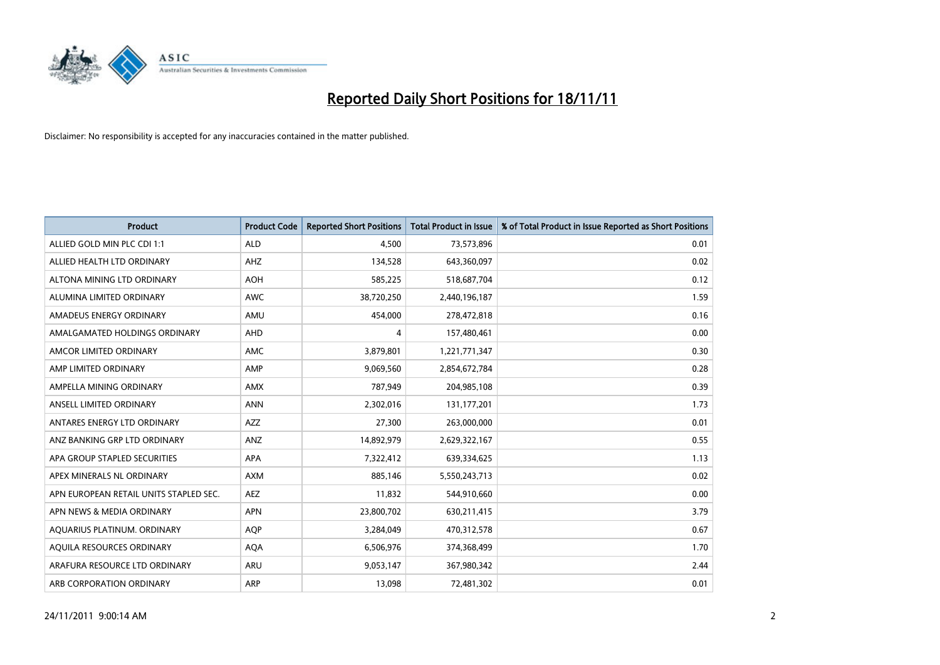

| <b>Product</b>                         | <b>Product Code</b> | <b>Reported Short Positions</b> | <b>Total Product in Issue</b> | % of Total Product in Issue Reported as Short Positions |
|----------------------------------------|---------------------|---------------------------------|-------------------------------|---------------------------------------------------------|
| ALLIED GOLD MIN PLC CDI 1:1            | <b>ALD</b>          | 4.500                           | 73,573,896                    | 0.01                                                    |
| ALLIED HEALTH LTD ORDINARY             | AHZ                 | 134,528                         | 643,360,097                   | 0.02                                                    |
| ALTONA MINING LTD ORDINARY             | <b>AOH</b>          | 585,225                         | 518,687,704                   | 0.12                                                    |
| ALUMINA LIMITED ORDINARY               | <b>AWC</b>          | 38,720,250                      | 2,440,196,187                 | 1.59                                                    |
| AMADEUS ENERGY ORDINARY                | AMU                 | 454,000                         | 278,472,818                   | 0.16                                                    |
| AMALGAMATED HOLDINGS ORDINARY          | AHD                 | 4                               | 157,480,461                   | 0.00                                                    |
| AMCOR LIMITED ORDINARY                 | AMC                 | 3,879,801                       | 1,221,771,347                 | 0.30                                                    |
| AMP LIMITED ORDINARY                   | AMP                 | 9,069,560                       | 2,854,672,784                 | 0.28                                                    |
| AMPELLA MINING ORDINARY                | <b>AMX</b>          | 787,949                         | 204,985,108                   | 0.39                                                    |
| ANSELL LIMITED ORDINARY                | <b>ANN</b>          | 2,302,016                       | 131, 177, 201                 | 1.73                                                    |
| ANTARES ENERGY LTD ORDINARY            | <b>AZZ</b>          | 27,300                          | 263,000,000                   | 0.01                                                    |
| ANZ BANKING GRP LTD ORDINARY           | ANZ                 | 14,892,979                      | 2,629,322,167                 | 0.55                                                    |
| APA GROUP STAPLED SECURITIES           | <b>APA</b>          | 7,322,412                       | 639,334,625                   | 1.13                                                    |
| APEX MINERALS NL ORDINARY              | <b>AXM</b>          | 885,146                         | 5,550,243,713                 | 0.02                                                    |
| APN EUROPEAN RETAIL UNITS STAPLED SEC. | <b>AEZ</b>          | 11,832                          | 544,910,660                   | 0.00                                                    |
| APN NEWS & MEDIA ORDINARY              | <b>APN</b>          | 23,800,702                      | 630,211,415                   | 3.79                                                    |
| AQUARIUS PLATINUM. ORDINARY            | <b>AOP</b>          | 3,284,049                       | 470,312,578                   | 0.67                                                    |
| AQUILA RESOURCES ORDINARY              | <b>AQA</b>          | 6,506,976                       | 374,368,499                   | 1.70                                                    |
| ARAFURA RESOURCE LTD ORDINARY          | ARU                 | 9,053,147                       | 367,980,342                   | 2.44                                                    |
| ARB CORPORATION ORDINARY               | <b>ARP</b>          | 13,098                          | 72,481,302                    | 0.01                                                    |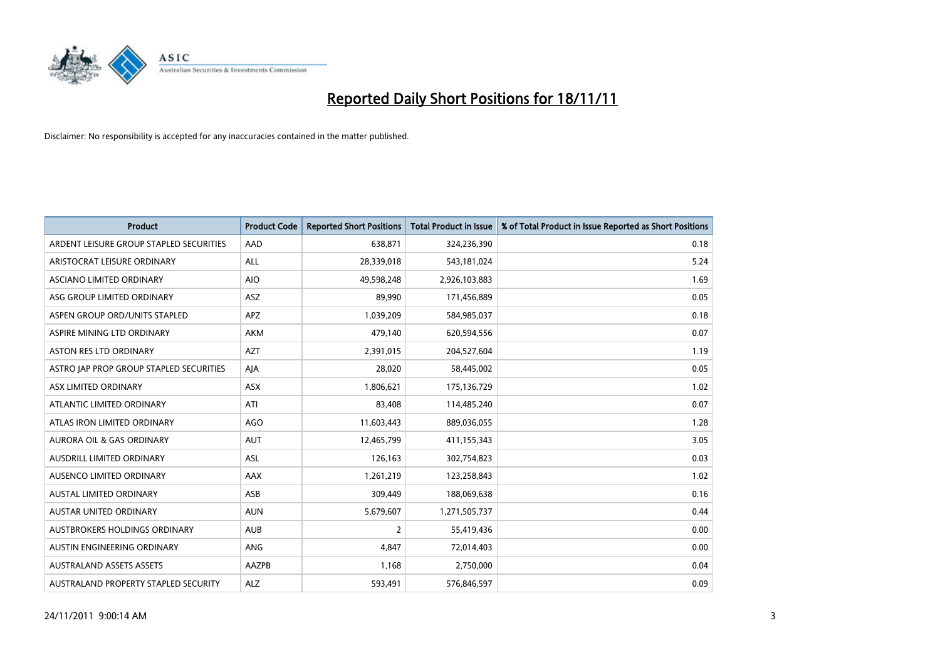

| <b>Product</b>                          | <b>Product Code</b> | <b>Reported Short Positions</b> | <b>Total Product in Issue</b> | % of Total Product in Issue Reported as Short Positions |
|-----------------------------------------|---------------------|---------------------------------|-------------------------------|---------------------------------------------------------|
| ARDENT LEISURE GROUP STAPLED SECURITIES | AAD                 | 638,871                         | 324,236,390                   | 0.18                                                    |
| ARISTOCRAT LEISURE ORDINARY             | <b>ALL</b>          | 28,339,018                      | 543,181,024                   | 5.24                                                    |
| ASCIANO LIMITED ORDINARY                | <b>AIO</b>          | 49,598,248                      | 2,926,103,883                 | 1.69                                                    |
| ASG GROUP LIMITED ORDINARY              | ASZ                 | 89,990                          | 171,456,889                   | 0.05                                                    |
| ASPEN GROUP ORD/UNITS STAPLED           | <b>APZ</b>          | 1,039,209                       | 584,985,037                   | 0.18                                                    |
| ASPIRE MINING LTD ORDINARY              | <b>AKM</b>          | 479,140                         | 620,594,556                   | 0.07                                                    |
| ASTON RES LTD ORDINARY                  | <b>AZT</b>          | 2,391,015                       | 204,527,604                   | 1.19                                                    |
| ASTRO JAP PROP GROUP STAPLED SECURITIES | AJA                 | 28,020                          | 58,445,002                    | 0.05                                                    |
| ASX LIMITED ORDINARY                    | <b>ASX</b>          | 1,806,621                       | 175,136,729                   | 1.02                                                    |
| ATLANTIC LIMITED ORDINARY               | ATI                 | 83,408                          | 114,485,240                   | 0.07                                                    |
| ATLAS IRON LIMITED ORDINARY             | <b>AGO</b>          | 11,603,443                      | 889,036,055                   | 1.28                                                    |
| <b>AURORA OIL &amp; GAS ORDINARY</b>    | <b>AUT</b>          | 12,465,799                      | 411,155,343                   | 3.05                                                    |
| AUSDRILL LIMITED ORDINARY               | ASL                 | 126,163                         | 302,754,823                   | 0.03                                                    |
| AUSENCO LIMITED ORDINARY                | AAX                 | 1,261,219                       | 123,258,843                   | 1.02                                                    |
| <b>AUSTAL LIMITED ORDINARY</b>          | ASB                 | 309,449                         | 188,069,638                   | 0.16                                                    |
| AUSTAR UNITED ORDINARY                  | <b>AUN</b>          | 5,679,607                       | 1,271,505,737                 | 0.44                                                    |
| AUSTBROKERS HOLDINGS ORDINARY           | <b>AUB</b>          | $\overline{2}$                  | 55,419,436                    | 0.00                                                    |
| AUSTIN ENGINEERING ORDINARY             | <b>ANG</b>          | 4,847                           | 72,014,403                    | 0.00                                                    |
| <b>AUSTRALAND ASSETS ASSETS</b>         | AAZPB               | 1,168                           | 2,750,000                     | 0.04                                                    |
| AUSTRALAND PROPERTY STAPLED SECURITY    | <b>ALZ</b>          | 593,491                         | 576,846,597                   | 0.09                                                    |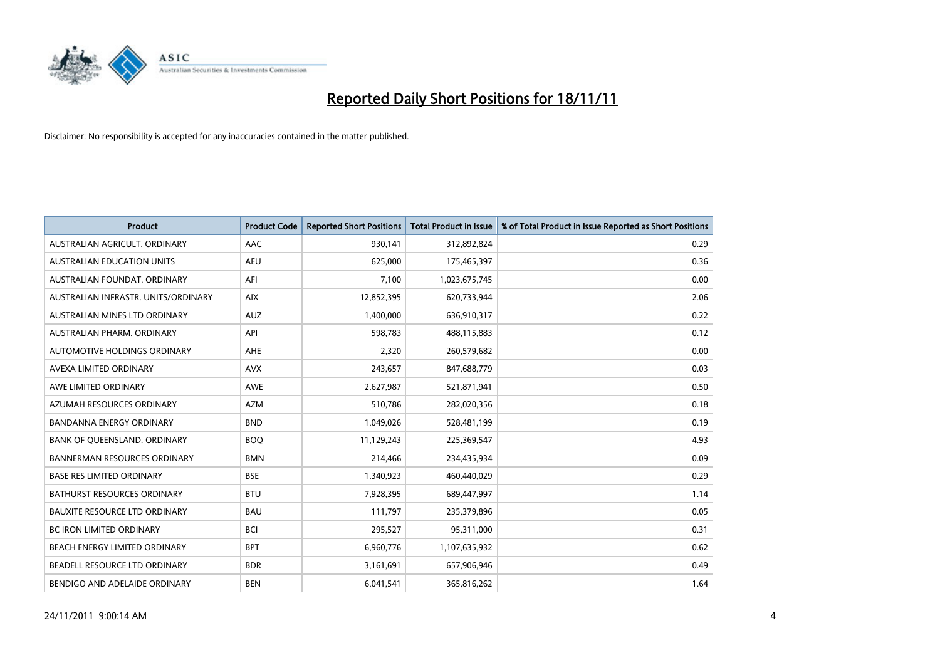

| <b>Product</b>                       | <b>Product Code</b> | <b>Reported Short Positions</b> | <b>Total Product in Issue</b> | % of Total Product in Issue Reported as Short Positions |
|--------------------------------------|---------------------|---------------------------------|-------------------------------|---------------------------------------------------------|
| AUSTRALIAN AGRICULT, ORDINARY        | <b>AAC</b>          | 930,141                         | 312,892,824                   | 0.29                                                    |
| AUSTRALIAN EDUCATION UNITS           | <b>AEU</b>          | 625,000                         | 175,465,397                   | 0.36                                                    |
| AUSTRALIAN FOUNDAT, ORDINARY         | AFI                 | 7,100                           | 1,023,675,745                 | 0.00                                                    |
| AUSTRALIAN INFRASTR. UNITS/ORDINARY  | <b>AIX</b>          | 12,852,395                      | 620,733,944                   | 2.06                                                    |
| AUSTRALIAN MINES LTD ORDINARY        | <b>AUZ</b>          | 1,400,000                       | 636,910,317                   | 0.22                                                    |
| AUSTRALIAN PHARM, ORDINARY           | API                 | 598,783                         | 488,115,883                   | 0.12                                                    |
| AUTOMOTIVE HOLDINGS ORDINARY         | <b>AHE</b>          | 2,320                           | 260,579,682                   | 0.00                                                    |
| AVEXA LIMITED ORDINARY               | <b>AVX</b>          | 243,657                         | 847,688,779                   | 0.03                                                    |
| AWE LIMITED ORDINARY                 | <b>AWE</b>          | 2,627,987                       | 521,871,941                   | 0.50                                                    |
| AZUMAH RESOURCES ORDINARY            | <b>AZM</b>          | 510,786                         | 282,020,356                   | 0.18                                                    |
| BANDANNA ENERGY ORDINARY             | <b>BND</b>          | 1,049,026                       | 528,481,199                   | 0.19                                                    |
| BANK OF QUEENSLAND. ORDINARY         | <b>BOQ</b>          | 11,129,243                      | 225,369,547                   | 4.93                                                    |
| <b>BANNERMAN RESOURCES ORDINARY</b>  | <b>BMN</b>          | 214,466                         | 234,435,934                   | 0.09                                                    |
| <b>BASE RES LIMITED ORDINARY</b>     | <b>BSE</b>          | 1,340,923                       | 460,440,029                   | 0.29                                                    |
| <b>BATHURST RESOURCES ORDINARY</b>   | <b>BTU</b>          | 7,928,395                       | 689,447,997                   | 1.14                                                    |
| <b>BAUXITE RESOURCE LTD ORDINARY</b> | <b>BAU</b>          | 111,797                         | 235,379,896                   | 0.05                                                    |
| BC IRON LIMITED ORDINARY             | <b>BCI</b>          | 295,527                         | 95,311,000                    | 0.31                                                    |
| <b>BEACH ENERGY LIMITED ORDINARY</b> | <b>BPT</b>          | 6,960,776                       | 1,107,635,932                 | 0.62                                                    |
| BEADELL RESOURCE LTD ORDINARY        | <b>BDR</b>          | 3,161,691                       | 657,906,946                   | 0.49                                                    |
| BENDIGO AND ADELAIDE ORDINARY        | <b>BEN</b>          | 6,041,541                       | 365,816,262                   | 1.64                                                    |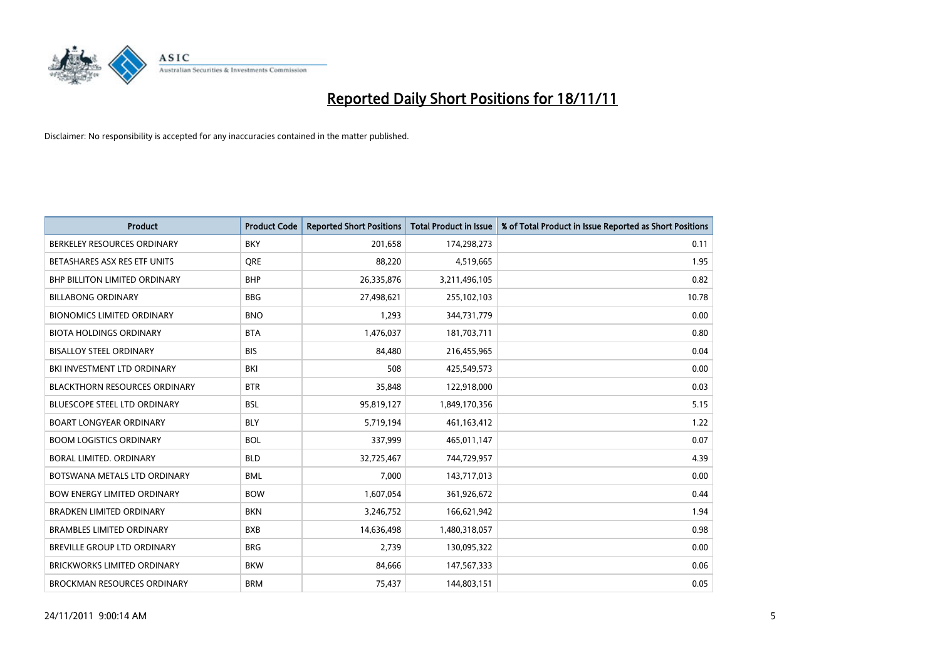

| <b>Product</b>                       | <b>Product Code</b> | <b>Reported Short Positions</b> | <b>Total Product in Issue</b> | % of Total Product in Issue Reported as Short Positions |
|--------------------------------------|---------------------|---------------------------------|-------------------------------|---------------------------------------------------------|
| BERKELEY RESOURCES ORDINARY          | <b>BKY</b>          | 201.658                         | 174,298,273                   | 0.11                                                    |
| BETASHARES ASX RES ETF UNITS         | <b>ORE</b>          | 88,220                          | 4,519,665                     | 1.95                                                    |
| <b>BHP BILLITON LIMITED ORDINARY</b> | <b>BHP</b>          | 26,335,876                      | 3,211,496,105                 | 0.82                                                    |
| <b>BILLABONG ORDINARY</b>            | <b>BBG</b>          | 27,498,621                      | 255,102,103                   | 10.78                                                   |
| <b>BIONOMICS LIMITED ORDINARY</b>    | <b>BNO</b>          | 1,293                           | 344,731,779                   | 0.00                                                    |
| <b>BIOTA HOLDINGS ORDINARY</b>       | <b>BTA</b>          | 1,476,037                       | 181,703,711                   | 0.80                                                    |
| <b>BISALLOY STEEL ORDINARY</b>       | <b>BIS</b>          | 84,480                          | 216,455,965                   | 0.04                                                    |
| BKI INVESTMENT LTD ORDINARY          | BKI                 | 508                             | 425,549,573                   | 0.00                                                    |
| <b>BLACKTHORN RESOURCES ORDINARY</b> | <b>BTR</b>          | 35,848                          | 122,918,000                   | 0.03                                                    |
| <b>BLUESCOPE STEEL LTD ORDINARY</b>  | <b>BSL</b>          | 95,819,127                      | 1,849,170,356                 | 5.15                                                    |
| <b>BOART LONGYEAR ORDINARY</b>       | <b>BLY</b>          | 5,719,194                       | 461,163,412                   | 1.22                                                    |
| <b>BOOM LOGISTICS ORDINARY</b>       | <b>BOL</b>          | 337,999                         | 465,011,147                   | 0.07                                                    |
| <b>BORAL LIMITED, ORDINARY</b>       | <b>BLD</b>          | 32,725,467                      | 744,729,957                   | 4.39                                                    |
| BOTSWANA METALS LTD ORDINARY         | <b>BML</b>          | 7,000                           | 143,717,013                   | 0.00                                                    |
| <b>BOW ENERGY LIMITED ORDINARY</b>   | <b>BOW</b>          | 1,607,054                       | 361,926,672                   | 0.44                                                    |
| <b>BRADKEN LIMITED ORDINARY</b>      | <b>BKN</b>          | 3,246,752                       | 166,621,942                   | 1.94                                                    |
| <b>BRAMBLES LIMITED ORDINARY</b>     | <b>BXB</b>          | 14,636,498                      | 1,480,318,057                 | 0.98                                                    |
| BREVILLE GROUP LTD ORDINARY          | <b>BRG</b>          | 2,739                           | 130,095,322                   | 0.00                                                    |
| <b>BRICKWORKS LIMITED ORDINARY</b>   | <b>BKW</b>          | 84,666                          | 147,567,333                   | 0.06                                                    |
| <b>BROCKMAN RESOURCES ORDINARY</b>   | <b>BRM</b>          | 75,437                          | 144,803,151                   | 0.05                                                    |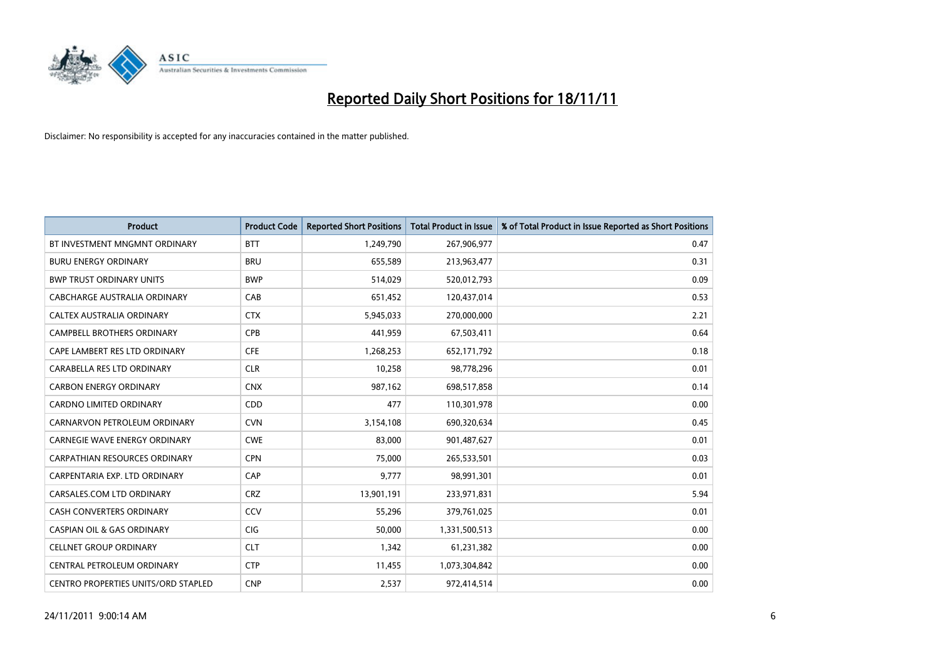

| <b>Product</b>                             | <b>Product Code</b> | <b>Reported Short Positions</b> | <b>Total Product in Issue</b> | % of Total Product in Issue Reported as Short Positions |
|--------------------------------------------|---------------------|---------------------------------|-------------------------------|---------------------------------------------------------|
| BT INVESTMENT MNGMNT ORDINARY              | <b>BTT</b>          | 1,249,790                       | 267,906,977                   | 0.47                                                    |
| <b>BURU ENERGY ORDINARY</b>                | <b>BRU</b>          | 655,589                         | 213,963,477                   | 0.31                                                    |
| <b>BWP TRUST ORDINARY UNITS</b>            | <b>BWP</b>          | 514,029                         | 520,012,793                   | 0.09                                                    |
| CABCHARGE AUSTRALIA ORDINARY               | CAB                 | 651,452                         | 120,437,014                   | 0.53                                                    |
| <b>CALTEX AUSTRALIA ORDINARY</b>           | <b>CTX</b>          | 5,945,033                       | 270,000,000                   | 2.21                                                    |
| <b>CAMPBELL BROTHERS ORDINARY</b>          | <b>CPB</b>          | 441,959                         | 67,503,411                    | 0.64                                                    |
| CAPE LAMBERT RES LTD ORDINARY              | <b>CFE</b>          | 1,268,253                       | 652,171,792                   | 0.18                                                    |
| CARABELLA RES LTD ORDINARY                 | <b>CLR</b>          | 10,258                          | 98,778,296                    | 0.01                                                    |
| <b>CARBON ENERGY ORDINARY</b>              | <b>CNX</b>          | 987,162                         | 698,517,858                   | 0.14                                                    |
| <b>CARDNO LIMITED ORDINARY</b>             | CDD                 | 477                             | 110,301,978                   | 0.00                                                    |
| CARNARVON PETROLEUM ORDINARY               | <b>CVN</b>          | 3,154,108                       | 690,320,634                   | 0.45                                                    |
| <b>CARNEGIE WAVE ENERGY ORDINARY</b>       | <b>CWE</b>          | 83,000                          | 901,487,627                   | 0.01                                                    |
| <b>CARPATHIAN RESOURCES ORDINARY</b>       | <b>CPN</b>          | 75,000                          | 265,533,501                   | 0.03                                                    |
| CARPENTARIA EXP. LTD ORDINARY              | CAP                 | 9,777                           | 98,991,301                    | 0.01                                                    |
| CARSALES.COM LTD ORDINARY                  | <b>CRZ</b>          | 13,901,191                      | 233,971,831                   | 5.94                                                    |
| CASH CONVERTERS ORDINARY                   | CCV                 | 55,296                          | 379,761,025                   | 0.01                                                    |
| <b>CASPIAN OIL &amp; GAS ORDINARY</b>      | <b>CIG</b>          | 50,000                          | 1,331,500,513                 | 0.00                                                    |
| <b>CELLNET GROUP ORDINARY</b>              | <b>CLT</b>          | 1,342                           | 61,231,382                    | 0.00                                                    |
| CENTRAL PETROLEUM ORDINARY                 | <b>CTP</b>          | 11,455                          | 1,073,304,842                 | 0.00                                                    |
| <b>CENTRO PROPERTIES UNITS/ORD STAPLED</b> | <b>CNP</b>          | 2,537                           | 972,414,514                   | 0.00                                                    |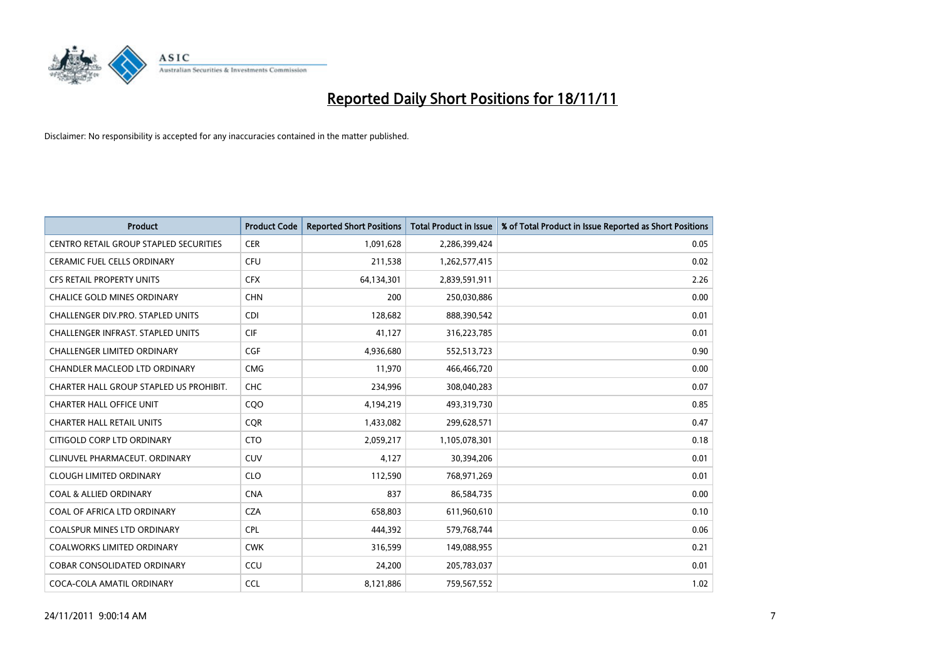

| <b>Product</b>                           | <b>Product Code</b> | <b>Reported Short Positions</b> | <b>Total Product in Issue</b> | % of Total Product in Issue Reported as Short Positions |
|------------------------------------------|---------------------|---------------------------------|-------------------------------|---------------------------------------------------------|
| CENTRO RETAIL GROUP STAPLED SECURITIES   | <b>CER</b>          | 1,091,628                       | 2,286,399,424                 | 0.05                                                    |
| <b>CERAMIC FUEL CELLS ORDINARY</b>       | <b>CFU</b>          | 211,538                         | 1,262,577,415                 | 0.02                                                    |
| <b>CFS RETAIL PROPERTY UNITS</b>         | <b>CFX</b>          | 64,134,301                      | 2,839,591,911                 | 2.26                                                    |
| CHALICE GOLD MINES ORDINARY              | <b>CHN</b>          | 200                             | 250,030,886                   | 0.00                                                    |
| CHALLENGER DIV.PRO. STAPLED UNITS        | <b>CDI</b>          | 128.682                         | 888,390,542                   | 0.01                                                    |
| <b>CHALLENGER INFRAST. STAPLED UNITS</b> | <b>CIF</b>          | 41,127                          | 316,223,785                   | 0.01                                                    |
| <b>CHALLENGER LIMITED ORDINARY</b>       | <b>CGF</b>          | 4,936,680                       | 552,513,723                   | 0.90                                                    |
| <b>CHANDLER MACLEOD LTD ORDINARY</b>     | <b>CMG</b>          | 11,970                          | 466,466,720                   | 0.00                                                    |
| CHARTER HALL GROUP STAPLED US PROHIBIT.  | <b>CHC</b>          | 234,996                         | 308,040,283                   | 0.07                                                    |
| <b>CHARTER HALL OFFICE UNIT</b>          | CQ <sub>O</sub>     | 4,194,219                       | 493,319,730                   | 0.85                                                    |
| <b>CHARTER HALL RETAIL UNITS</b>         | <b>COR</b>          | 1,433,082                       | 299,628,571                   | 0.47                                                    |
| CITIGOLD CORP LTD ORDINARY               | <b>CTO</b>          | 2,059,217                       | 1,105,078,301                 | 0.18                                                    |
| CLINUVEL PHARMACEUT. ORDINARY            | CUV                 | 4.127                           | 30,394,206                    | 0.01                                                    |
| <b>CLOUGH LIMITED ORDINARY</b>           | <b>CLO</b>          | 112,590                         | 768,971,269                   | 0.01                                                    |
| <b>COAL &amp; ALLIED ORDINARY</b>        | <b>CNA</b>          | 837                             | 86,584,735                    | 0.00                                                    |
| COAL OF AFRICA LTD ORDINARY              | <b>CZA</b>          | 658,803                         | 611,960,610                   | 0.10                                                    |
| <b>COALSPUR MINES LTD ORDINARY</b>       | <b>CPL</b>          | 444,392                         | 579,768,744                   | 0.06                                                    |
| COALWORKS LIMITED ORDINARY               | <b>CWK</b>          | 316,599                         | 149,088,955                   | 0.21                                                    |
| <b>COBAR CONSOLIDATED ORDINARY</b>       | CCU                 | 24,200                          | 205,783,037                   | 0.01                                                    |
| COCA-COLA AMATIL ORDINARY                | <b>CCL</b>          | 8,121,886                       | 759,567,552                   | 1.02                                                    |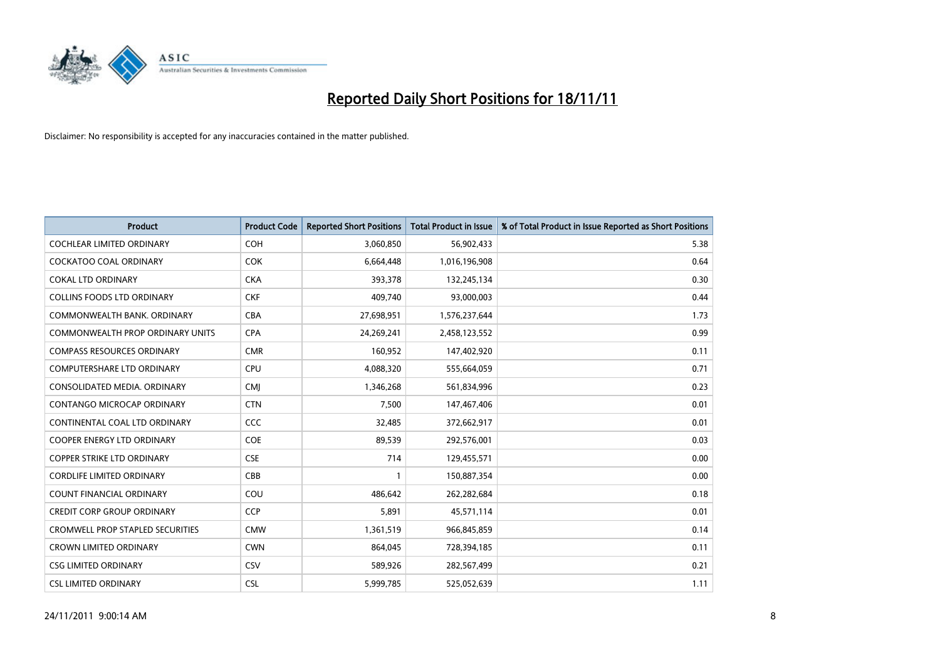

| <b>Product</b>                          | <b>Product Code</b> | <b>Reported Short Positions</b> | <b>Total Product in Issue</b> | % of Total Product in Issue Reported as Short Positions |
|-----------------------------------------|---------------------|---------------------------------|-------------------------------|---------------------------------------------------------|
| <b>COCHLEAR LIMITED ORDINARY</b>        | <b>COH</b>          | 3,060,850                       | 56,902,433                    | 5.38                                                    |
| COCKATOO COAL ORDINARY                  | <b>COK</b>          | 6,664,448                       | 1,016,196,908                 | 0.64                                                    |
| <b>COKAL LTD ORDINARY</b>               | <b>CKA</b>          | 393,378                         | 132,245,134                   | 0.30                                                    |
| COLLINS FOODS LTD ORDINARY              | <b>CKF</b>          | 409,740                         | 93,000,003                    | 0.44                                                    |
| COMMONWEALTH BANK, ORDINARY             | <b>CBA</b>          | 27,698,951                      | 1,576,237,644                 | 1.73                                                    |
| <b>COMMONWEALTH PROP ORDINARY UNITS</b> | <b>CPA</b>          | 24,269,241                      | 2,458,123,552                 | 0.99                                                    |
| <b>COMPASS RESOURCES ORDINARY</b>       | <b>CMR</b>          | 160,952                         | 147,402,920                   | 0.11                                                    |
| <b>COMPUTERSHARE LTD ORDINARY</b>       | CPU                 | 4,088,320                       | 555,664,059                   | 0.71                                                    |
| CONSOLIDATED MEDIA. ORDINARY            | <b>CMI</b>          | 1,346,268                       | 561,834,996                   | 0.23                                                    |
| <b>CONTANGO MICROCAP ORDINARY</b>       | <b>CTN</b>          | 7,500                           | 147,467,406                   | 0.01                                                    |
| CONTINENTAL COAL LTD ORDINARY           | CCC                 | 32,485                          | 372,662,917                   | 0.01                                                    |
| <b>COOPER ENERGY LTD ORDINARY</b>       | <b>COE</b>          | 89,539                          | 292,576,001                   | 0.03                                                    |
| <b>COPPER STRIKE LTD ORDINARY</b>       | <b>CSE</b>          | 714                             | 129,455,571                   | 0.00                                                    |
| <b>CORDLIFE LIMITED ORDINARY</b>        | CBB                 |                                 | 150,887,354                   | 0.00                                                    |
| <b>COUNT FINANCIAL ORDINARY</b>         | COU                 | 486,642                         | 262,282,684                   | 0.18                                                    |
| CREDIT CORP GROUP ORDINARY              | <b>CCP</b>          | 5,891                           | 45,571,114                    | 0.01                                                    |
| <b>CROMWELL PROP STAPLED SECURITIES</b> | <b>CMW</b>          | 1,361,519                       | 966,845,859                   | 0.14                                                    |
| <b>CROWN LIMITED ORDINARY</b>           | <b>CWN</b>          | 864,045                         | 728,394,185                   | 0.11                                                    |
| <b>CSG LIMITED ORDINARY</b>             | CSV                 | 589,926                         | 282,567,499                   | 0.21                                                    |
| <b>CSL LIMITED ORDINARY</b>             | <b>CSL</b>          | 5,999,785                       | 525,052,639                   | 1.11                                                    |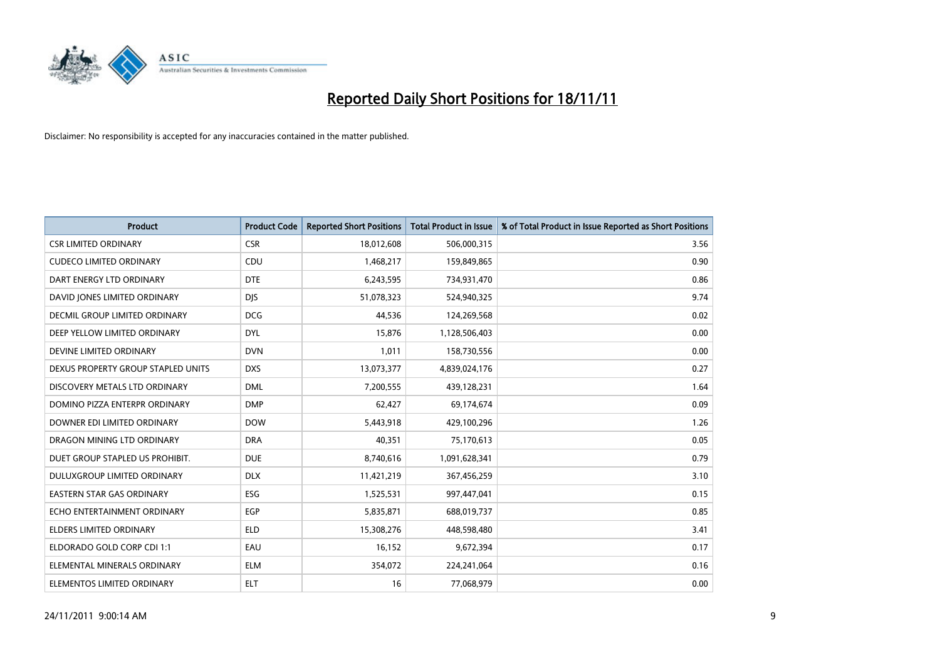

| <b>Product</b>                     | <b>Product Code</b> | <b>Reported Short Positions</b> | <b>Total Product in Issue</b> | % of Total Product in Issue Reported as Short Positions |
|------------------------------------|---------------------|---------------------------------|-------------------------------|---------------------------------------------------------|
| <b>CSR LIMITED ORDINARY</b>        | <b>CSR</b>          | 18,012,608                      | 506,000,315                   | 3.56                                                    |
| <b>CUDECO LIMITED ORDINARY</b>     | CDU                 | 1,468,217                       | 159,849,865                   | 0.90                                                    |
| DART ENERGY LTD ORDINARY           | <b>DTE</b>          | 6,243,595                       | 734,931,470                   | 0.86                                                    |
| DAVID JONES LIMITED ORDINARY       | <b>DJS</b>          | 51,078,323                      | 524,940,325                   | 9.74                                                    |
| DECMIL GROUP LIMITED ORDINARY      | <b>DCG</b>          | 44,536                          | 124,269,568                   | 0.02                                                    |
| DEEP YELLOW LIMITED ORDINARY       | <b>DYL</b>          | 15,876                          | 1,128,506,403                 | 0.00                                                    |
| DEVINE LIMITED ORDINARY            | <b>DVN</b>          | 1,011                           | 158,730,556                   | 0.00                                                    |
| DEXUS PROPERTY GROUP STAPLED UNITS | <b>DXS</b>          | 13,073,377                      | 4,839,024,176                 | 0.27                                                    |
| DISCOVERY METALS LTD ORDINARY      | <b>DML</b>          | 7,200,555                       | 439,128,231                   | 1.64                                                    |
| DOMINO PIZZA ENTERPR ORDINARY      | <b>DMP</b>          | 62,427                          | 69,174,674                    | 0.09                                                    |
| DOWNER EDI LIMITED ORDINARY        | <b>DOW</b>          | 5,443,918                       | 429,100,296                   | 1.26                                                    |
| DRAGON MINING LTD ORDINARY         | <b>DRA</b>          | 40,351                          | 75,170,613                    | 0.05                                                    |
| DUET GROUP STAPLED US PROHIBIT.    | <b>DUE</b>          | 8,740,616                       | 1,091,628,341                 | 0.79                                                    |
| DULUXGROUP LIMITED ORDINARY        | <b>DLX</b>          | 11,421,219                      | 367,456,259                   | 3.10                                                    |
| <b>EASTERN STAR GAS ORDINARY</b>   | ESG                 | 1,525,531                       | 997,447,041                   | 0.15                                                    |
| ECHO ENTERTAINMENT ORDINARY        | <b>EGP</b>          | 5,835,871                       | 688,019,737                   | 0.85                                                    |
| ELDERS LIMITED ORDINARY            | <b>ELD</b>          | 15,308,276                      | 448,598,480                   | 3.41                                                    |
| ELDORADO GOLD CORP CDI 1:1         | EAU                 | 16,152                          | 9,672,394                     | 0.17                                                    |
| ELEMENTAL MINERALS ORDINARY        | <b>ELM</b>          | 354,072                         | 224,241,064                   | 0.16                                                    |
| ELEMENTOS LIMITED ORDINARY         | <b>ELT</b>          | 16                              | 77,068,979                    | 0.00                                                    |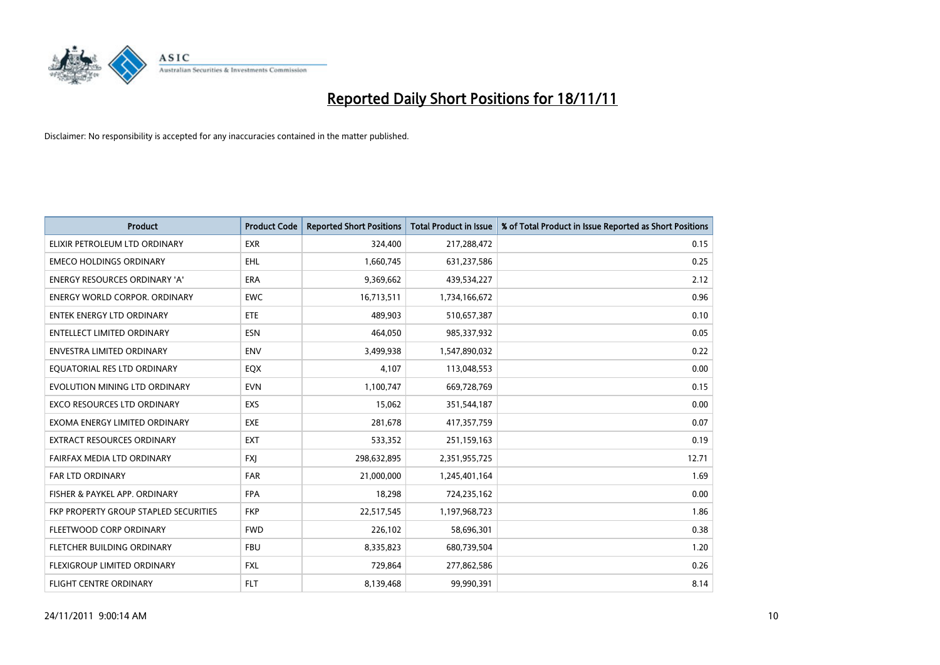

| <b>Product</b>                        | <b>Product Code</b> | <b>Reported Short Positions</b> | <b>Total Product in Issue</b> | % of Total Product in Issue Reported as Short Positions |
|---------------------------------------|---------------------|---------------------------------|-------------------------------|---------------------------------------------------------|
| ELIXIR PETROLEUM LTD ORDINARY         | <b>EXR</b>          | 324,400                         | 217,288,472                   | 0.15                                                    |
| <b>EMECO HOLDINGS ORDINARY</b>        | <b>EHL</b>          | 1,660,745                       | 631,237,586                   | 0.25                                                    |
| <b>ENERGY RESOURCES ORDINARY 'A'</b>  | <b>ERA</b>          | 9,369,662                       | 439,534,227                   | 2.12                                                    |
| ENERGY WORLD CORPOR. ORDINARY         | <b>EWC</b>          | 16,713,511                      | 1,734,166,672                 | 0.96                                                    |
| <b>ENTEK ENERGY LTD ORDINARY</b>      | <b>ETE</b>          | 489,903                         | 510,657,387                   | 0.10                                                    |
| <b>ENTELLECT LIMITED ORDINARY</b>     | <b>ESN</b>          | 464.050                         | 985,337,932                   | 0.05                                                    |
| ENVESTRA LIMITED ORDINARY             | <b>ENV</b>          | 3,499,938                       | 1,547,890,032                 | 0.22                                                    |
| EQUATORIAL RES LTD ORDINARY           | <b>EQX</b>          | 4,107                           | 113,048,553                   | 0.00                                                    |
| EVOLUTION MINING LTD ORDINARY         | <b>EVN</b>          | 1,100,747                       | 669,728,769                   | 0.15                                                    |
| <b>EXCO RESOURCES LTD ORDINARY</b>    | <b>EXS</b>          | 15,062                          | 351,544,187                   | 0.00                                                    |
| EXOMA ENERGY LIMITED ORDINARY         | <b>EXE</b>          | 281,678                         | 417,357,759                   | 0.07                                                    |
| <b>EXTRACT RESOURCES ORDINARY</b>     | <b>EXT</b>          | 533,352                         | 251,159,163                   | 0.19                                                    |
| FAIRFAX MEDIA LTD ORDINARY            | <b>FXI</b>          | 298,632,895                     | 2,351,955,725                 | 12.71                                                   |
| <b>FAR LTD ORDINARY</b>               | <b>FAR</b>          | 21,000,000                      | 1,245,401,164                 | 1.69                                                    |
| FISHER & PAYKEL APP. ORDINARY         | <b>FPA</b>          | 18,298                          | 724,235,162                   | 0.00                                                    |
| FKP PROPERTY GROUP STAPLED SECURITIES | <b>FKP</b>          | 22,517,545                      | 1,197,968,723                 | 1.86                                                    |
| FLEETWOOD CORP ORDINARY               | <b>FWD</b>          | 226,102                         | 58,696,301                    | 0.38                                                    |
| FLETCHER BUILDING ORDINARY            | <b>FBU</b>          | 8,335,823                       | 680,739,504                   | 1.20                                                    |
| <b>FLEXIGROUP LIMITED ORDINARY</b>    | <b>FXL</b>          | 729,864                         | 277,862,586                   | 0.26                                                    |
| FLIGHT CENTRE ORDINARY                | <b>FLT</b>          | 8,139,468                       | 99,990,391                    | 8.14                                                    |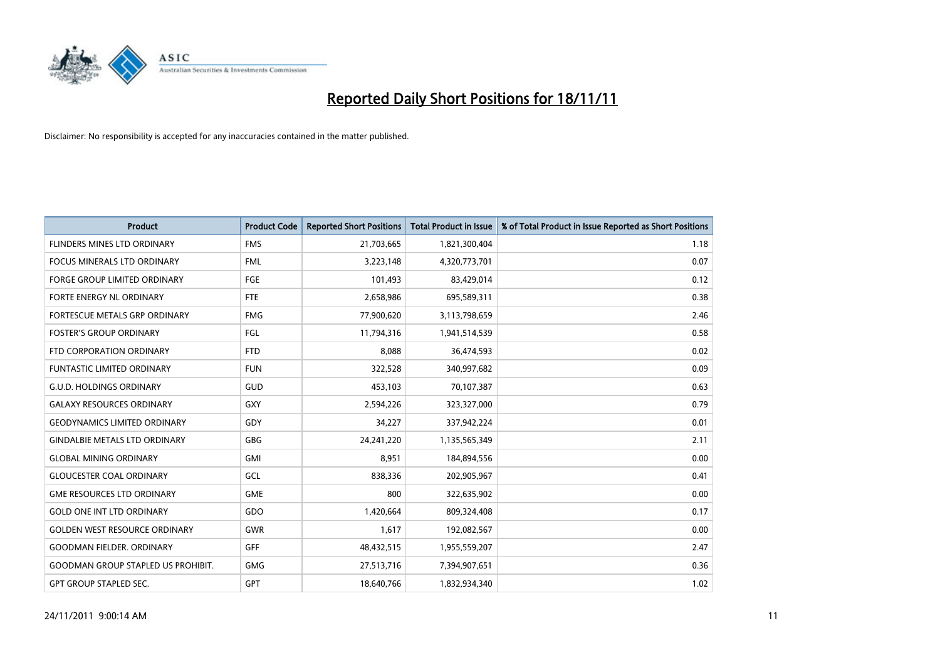

| <b>Product</b>                            | <b>Product Code</b> | <b>Reported Short Positions</b> | <b>Total Product in Issue</b> | % of Total Product in Issue Reported as Short Positions |
|-------------------------------------------|---------------------|---------------------------------|-------------------------------|---------------------------------------------------------|
| FLINDERS MINES LTD ORDINARY               | <b>FMS</b>          | 21,703,665                      | 1,821,300,404                 | 1.18                                                    |
| FOCUS MINERALS LTD ORDINARY               | <b>FML</b>          | 3,223,148                       | 4,320,773,701                 | 0.07                                                    |
| <b>FORGE GROUP LIMITED ORDINARY</b>       | FGE                 | 101,493                         | 83,429,014                    | 0.12                                                    |
| FORTE ENERGY NL ORDINARY                  | <b>FTE</b>          | 2,658,986                       | 695,589,311                   | 0.38                                                    |
| <b>FORTESCUE METALS GRP ORDINARY</b>      | <b>FMG</b>          | 77,900,620                      | 3,113,798,659                 | 2.46                                                    |
| <b>FOSTER'S GROUP ORDINARY</b>            | FGL                 | 11,794,316                      | 1,941,514,539                 | 0.58                                                    |
| FTD CORPORATION ORDINARY                  | <b>FTD</b>          | 8,088                           | 36,474,593                    | 0.02                                                    |
| FUNTASTIC LIMITED ORDINARY                | <b>FUN</b>          | 322,528                         | 340,997,682                   | 0.09                                                    |
| <b>G.U.D. HOLDINGS ORDINARY</b>           | GUD                 | 453,103                         | 70,107,387                    | 0.63                                                    |
| <b>GALAXY RESOURCES ORDINARY</b>          | <b>GXY</b>          | 2,594,226                       | 323,327,000                   | 0.79                                                    |
| <b>GEODYNAMICS LIMITED ORDINARY</b>       | GDY                 | 34,227                          | 337,942,224                   | 0.01                                                    |
| <b>GINDALBIE METALS LTD ORDINARY</b>      | <b>GBG</b>          | 24,241,220                      | 1,135,565,349                 | 2.11                                                    |
| <b>GLOBAL MINING ORDINARY</b>             | <b>GMI</b>          | 8,951                           | 184,894,556                   | 0.00                                                    |
| <b>GLOUCESTER COAL ORDINARY</b>           | GCL                 | 838,336                         | 202,905,967                   | 0.41                                                    |
| <b>GME RESOURCES LTD ORDINARY</b>         | <b>GME</b>          | 800                             | 322,635,902                   | 0.00                                                    |
| <b>GOLD ONE INT LTD ORDINARY</b>          | GDO                 | 1,420,664                       | 809,324,408                   | 0.17                                                    |
| <b>GOLDEN WEST RESOURCE ORDINARY</b>      | <b>GWR</b>          | 1,617                           | 192,082,567                   | 0.00                                                    |
| <b>GOODMAN FIELDER. ORDINARY</b>          | <b>GFF</b>          | 48,432,515                      | 1,955,559,207                 | 2.47                                                    |
| <b>GOODMAN GROUP STAPLED US PROHIBIT.</b> | <b>GMG</b>          | 27,513,716                      | 7,394,907,651                 | 0.36                                                    |
| <b>GPT GROUP STAPLED SEC.</b>             | <b>GPT</b>          | 18,640,766                      | 1,832,934,340                 | 1.02                                                    |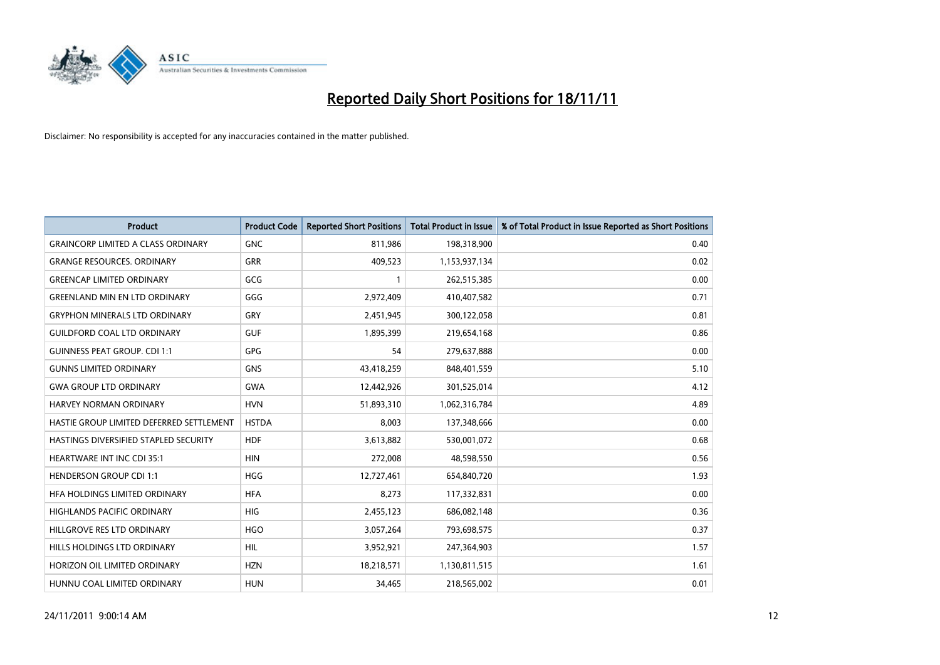

| <b>Product</b>                            | <b>Product Code</b> | <b>Reported Short Positions</b> | <b>Total Product in Issue</b> | % of Total Product in Issue Reported as Short Positions |
|-------------------------------------------|---------------------|---------------------------------|-------------------------------|---------------------------------------------------------|
| <b>GRAINCORP LIMITED A CLASS ORDINARY</b> | <b>GNC</b>          | 811,986                         | 198,318,900                   | 0.40                                                    |
| <b>GRANGE RESOURCES. ORDINARY</b>         | GRR                 | 409,523                         | 1,153,937,134                 | 0.02                                                    |
| <b>GREENCAP LIMITED ORDINARY</b>          | GCG                 |                                 | 262,515,385                   | 0.00                                                    |
| <b>GREENLAND MIN EN LTD ORDINARY</b>      | GGG                 | 2,972,409                       | 410,407,582                   | 0.71                                                    |
| <b>GRYPHON MINERALS LTD ORDINARY</b>      | <b>GRY</b>          | 2,451,945                       | 300,122,058                   | 0.81                                                    |
| <b>GUILDFORD COAL LTD ORDINARY</b>        | <b>GUF</b>          | 1,895,399                       | 219,654,168                   | 0.86                                                    |
| <b>GUINNESS PEAT GROUP. CDI 1:1</b>       | <b>GPG</b>          | 54                              | 279,637,888                   | 0.00                                                    |
| <b>GUNNS LIMITED ORDINARY</b>             | GNS                 | 43,418,259                      | 848,401,559                   | 5.10                                                    |
| <b>GWA GROUP LTD ORDINARY</b>             | <b>GWA</b>          | 12,442,926                      | 301,525,014                   | 4.12                                                    |
| <b>HARVEY NORMAN ORDINARY</b>             | <b>HVN</b>          | 51,893,310                      | 1,062,316,784                 | 4.89                                                    |
| HASTIE GROUP LIMITED DEFERRED SETTLEMENT  | <b>HSTDA</b>        | 8,003                           | 137,348,666                   | 0.00                                                    |
| HASTINGS DIVERSIFIED STAPLED SECURITY     | <b>HDF</b>          | 3,613,882                       | 530,001,072                   | 0.68                                                    |
| HEARTWARE INT INC CDI 35:1                | <b>HIN</b>          | 272,008                         | 48,598,550                    | 0.56                                                    |
| <b>HENDERSON GROUP CDI 1:1</b>            | <b>HGG</b>          | 12,727,461                      | 654,840,720                   | 1.93                                                    |
| HFA HOLDINGS LIMITED ORDINARY             | <b>HFA</b>          | 8,273                           | 117,332,831                   | 0.00                                                    |
| HIGHLANDS PACIFIC ORDINARY                | <b>HIG</b>          | 2,455,123                       | 686,082,148                   | 0.36                                                    |
| HILLGROVE RES LTD ORDINARY                | <b>HGO</b>          | 3,057,264                       | 793,698,575                   | 0.37                                                    |
| HILLS HOLDINGS LTD ORDINARY               | <b>HIL</b>          | 3,952,921                       | 247,364,903                   | 1.57                                                    |
| HORIZON OIL LIMITED ORDINARY              | <b>HZN</b>          | 18,218,571                      | 1,130,811,515                 | 1.61                                                    |
| HUNNU COAL LIMITED ORDINARY               | <b>HUN</b>          | 34,465                          | 218,565,002                   | 0.01                                                    |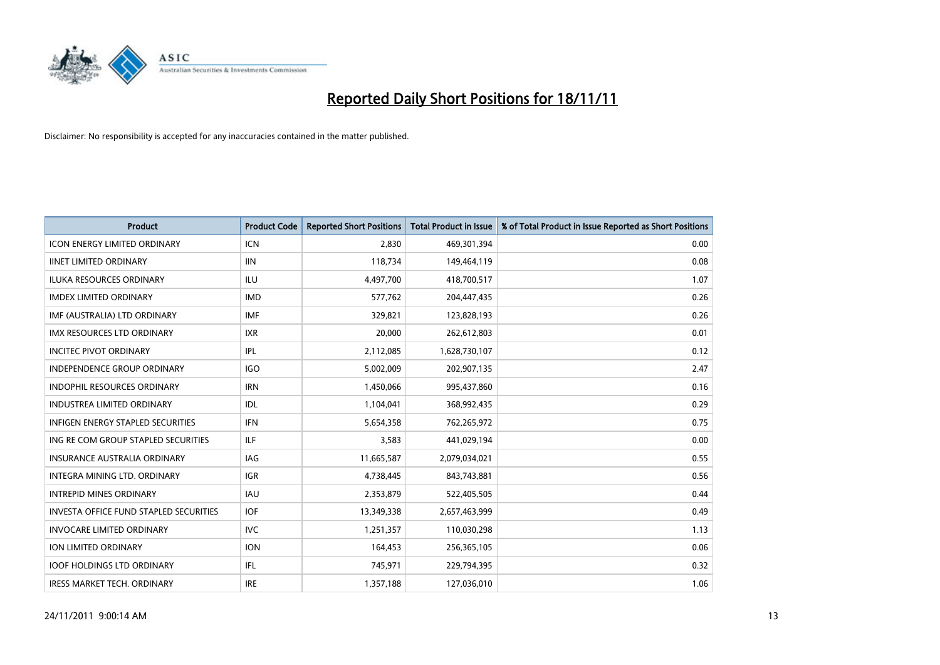

| <b>Product</b>                         | <b>Product Code</b> | <b>Reported Short Positions</b> | <b>Total Product in Issue</b> | % of Total Product in Issue Reported as Short Positions |
|----------------------------------------|---------------------|---------------------------------|-------------------------------|---------------------------------------------------------|
| <b>ICON ENERGY LIMITED ORDINARY</b>    | <b>ICN</b>          | 2,830                           | 469,301,394                   | 0.00                                                    |
| <b>IINET LIMITED ORDINARY</b>          | <b>IIN</b>          | 118,734                         | 149,464,119                   | 0.08                                                    |
| <b>ILUKA RESOURCES ORDINARY</b>        | ILU                 | 4,497,700                       | 418,700,517                   | 1.07                                                    |
| <b>IMDEX LIMITED ORDINARY</b>          | <b>IMD</b>          | 577,762                         | 204,447,435                   | 0.26                                                    |
| IMF (AUSTRALIA) LTD ORDINARY           | <b>IMF</b>          | 329,821                         | 123,828,193                   | 0.26                                                    |
| <b>IMX RESOURCES LTD ORDINARY</b>      | <b>IXR</b>          | 20,000                          | 262,612,803                   | 0.01                                                    |
| <b>INCITEC PIVOT ORDINARY</b>          | IPL                 | 2,112,085                       | 1,628,730,107                 | 0.12                                                    |
| INDEPENDENCE GROUP ORDINARY            | IGO                 | 5,002,009                       | 202,907,135                   | 2.47                                                    |
| INDOPHIL RESOURCES ORDINARY            | <b>IRN</b>          | 1,450,066                       | 995,437,860                   | 0.16                                                    |
| <b>INDUSTREA LIMITED ORDINARY</b>      | IDL                 | 1,104,041                       | 368,992,435                   | 0.29                                                    |
| INFIGEN ENERGY STAPLED SECURITIES      | <b>IFN</b>          | 5,654,358                       | 762,265,972                   | 0.75                                                    |
| ING RE COM GROUP STAPLED SECURITIES    | ILF.                | 3,583                           | 441,029,194                   | 0.00                                                    |
| INSURANCE AUSTRALIA ORDINARY           | IAG                 | 11,665,587                      | 2,079,034,021                 | 0.55                                                    |
| <b>INTEGRA MINING LTD, ORDINARY</b>    | <b>IGR</b>          | 4,738,445                       | 843,743,881                   | 0.56                                                    |
| <b>INTREPID MINES ORDINARY</b>         | <b>IAU</b>          | 2,353,879                       | 522,405,505                   | 0.44                                                    |
| INVESTA OFFICE FUND STAPLED SECURITIES | <b>IOF</b>          | 13,349,338                      | 2,657,463,999                 | 0.49                                                    |
| <b>INVOCARE LIMITED ORDINARY</b>       | <b>IVC</b>          | 1,251,357                       | 110,030,298                   | 1.13                                                    |
| ION LIMITED ORDINARY                   | <b>ION</b>          | 164,453                         | 256,365,105                   | 0.06                                                    |
| <b>IOOF HOLDINGS LTD ORDINARY</b>      | IFL.                | 745,971                         | 229,794,395                   | 0.32                                                    |
| <b>IRESS MARKET TECH. ORDINARY</b>     | <b>IRE</b>          | 1,357,188                       | 127,036,010                   | 1.06                                                    |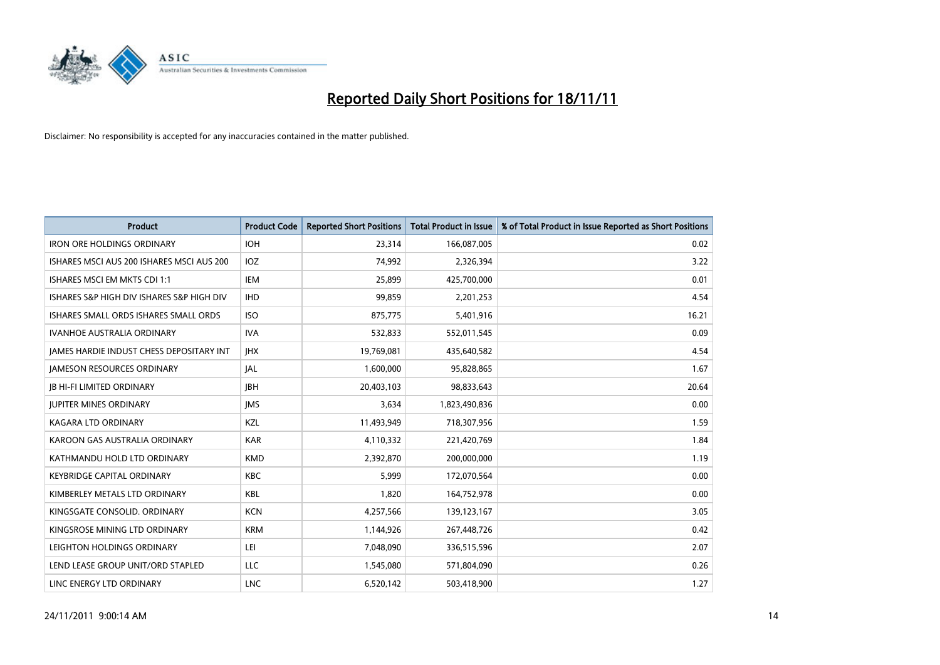

| <b>Product</b>                                  | <b>Product Code</b> | <b>Reported Short Positions</b> | <b>Total Product in Issue</b> | % of Total Product in Issue Reported as Short Positions |
|-------------------------------------------------|---------------------|---------------------------------|-------------------------------|---------------------------------------------------------|
| <b>IRON ORE HOLDINGS ORDINARY</b>               | <b>IOH</b>          | 23,314                          | 166,087,005                   | 0.02                                                    |
| ISHARES MSCI AUS 200 ISHARES MSCI AUS 200       | IOZ.                | 74,992                          | 2,326,394                     | 3.22                                                    |
| ISHARES MSCI EM MKTS CDI 1:1                    | IEM                 | 25,899                          | 425,700,000                   | 0.01                                                    |
| ISHARES S&P HIGH DIV ISHARES S&P HIGH DIV       | <b>IHD</b>          | 99,859                          | 2,201,253                     | 4.54                                                    |
| ISHARES SMALL ORDS ISHARES SMALL ORDS           | <b>ISO</b>          | 875,775                         | 5,401,916                     | 16.21                                                   |
| <b>IVANHOE AUSTRALIA ORDINARY</b>               | <b>IVA</b>          | 532,833                         | 552,011,545                   | 0.09                                                    |
| <b>JAMES HARDIE INDUST CHESS DEPOSITARY INT</b> | <b>IHX</b>          | 19,769,081                      | 435,640,582                   | 4.54                                                    |
| <b>JAMESON RESOURCES ORDINARY</b>               | <b>IAL</b>          | 1,600,000                       | 95,828,865                    | 1.67                                                    |
| <b>JB HI-FI LIMITED ORDINARY</b>                | <b>IBH</b>          | 20,403,103                      | 98,833,643                    | 20.64                                                   |
| <b>JUPITER MINES ORDINARY</b>                   | <b>IMS</b>          | 3.634                           | 1,823,490,836                 | 0.00                                                    |
| <b>KAGARA LTD ORDINARY</b>                      | <b>KZL</b>          | 11,493,949                      | 718,307,956                   | 1.59                                                    |
| KAROON GAS AUSTRALIA ORDINARY                   | <b>KAR</b>          | 4,110,332                       | 221,420,769                   | 1.84                                                    |
| KATHMANDU HOLD LTD ORDINARY                     | <b>KMD</b>          | 2,392,870                       | 200,000,000                   | 1.19                                                    |
| <b>KEYBRIDGE CAPITAL ORDINARY</b>               | <b>KBC</b>          | 5,999                           | 172,070,564                   | 0.00                                                    |
| KIMBERLEY METALS LTD ORDINARY                   | <b>KBL</b>          | 1,820                           | 164,752,978                   | 0.00                                                    |
| KINGSGATE CONSOLID. ORDINARY                    | <b>KCN</b>          | 4,257,566                       | 139,123,167                   | 3.05                                                    |
| KINGSROSE MINING LTD ORDINARY                   | <b>KRM</b>          | 1,144,926                       | 267,448,726                   | 0.42                                                    |
| LEIGHTON HOLDINGS ORDINARY                      | LEI                 | 7,048,090                       | 336,515,596                   | 2.07                                                    |
| LEND LEASE GROUP UNIT/ORD STAPLED               | LLC                 | 1,545,080                       | 571,804,090                   | 0.26                                                    |
| LINC ENERGY LTD ORDINARY                        | <b>LNC</b>          | 6,520,142                       | 503,418,900                   | 1.27                                                    |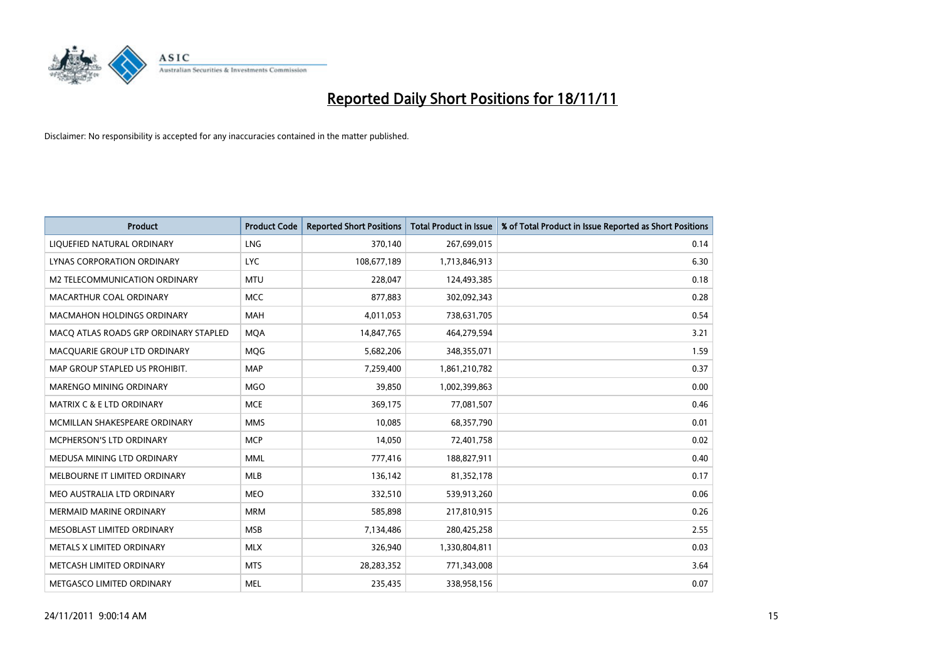

| <b>Product</b>                        | <b>Product Code</b> | <b>Reported Short Positions</b> | <b>Total Product in Issue</b> | % of Total Product in Issue Reported as Short Positions |
|---------------------------------------|---------------------|---------------------------------|-------------------------------|---------------------------------------------------------|
| LIQUEFIED NATURAL ORDINARY            | <b>LNG</b>          | 370,140                         | 267,699,015                   | 0.14                                                    |
| LYNAS CORPORATION ORDINARY            | <b>LYC</b>          | 108,677,189                     | 1,713,846,913                 | 6.30                                                    |
| M2 TELECOMMUNICATION ORDINARY         | <b>MTU</b>          | 228,047                         | 124,493,385                   | 0.18                                                    |
| MACARTHUR COAL ORDINARY               | <b>MCC</b>          | 877,883                         | 302,092,343                   | 0.28                                                    |
| <b>MACMAHON HOLDINGS ORDINARY</b>     | <b>MAH</b>          | 4,011,053                       | 738,631,705                   | 0.54                                                    |
| MACO ATLAS ROADS GRP ORDINARY STAPLED | <b>MOA</b>          | 14,847,765                      | 464,279,594                   | 3.21                                                    |
| MACQUARIE GROUP LTD ORDINARY          | <b>MOG</b>          | 5,682,206                       | 348,355,071                   | 1.59                                                    |
| MAP GROUP STAPLED US PROHIBIT.        | <b>MAP</b>          | 7,259,400                       | 1,861,210,782                 | 0.37                                                    |
| MARENGO MINING ORDINARY               | <b>MGO</b>          | 39,850                          | 1,002,399,863                 | 0.00                                                    |
| <b>MATRIX C &amp; E LTD ORDINARY</b>  | <b>MCE</b>          | 369,175                         | 77,081,507                    | 0.46                                                    |
| MCMILLAN SHAKESPEARE ORDINARY         | <b>MMS</b>          | 10,085                          | 68,357,790                    | 0.01                                                    |
| MCPHERSON'S LTD ORDINARY              | <b>MCP</b>          | 14,050                          | 72,401,758                    | 0.02                                                    |
| MEDUSA MINING LTD ORDINARY            | <b>MML</b>          | 777,416                         | 188,827,911                   | 0.40                                                    |
| MELBOURNE IT LIMITED ORDINARY         | MLB                 | 136,142                         | 81,352,178                    | 0.17                                                    |
| MEO AUSTRALIA LTD ORDINARY            | <b>MEO</b>          | 332,510                         | 539,913,260                   | 0.06                                                    |
| <b>MERMAID MARINE ORDINARY</b>        | <b>MRM</b>          | 585,898                         | 217,810,915                   | 0.26                                                    |
| MESOBLAST LIMITED ORDINARY            | <b>MSB</b>          | 7,134,486                       | 280,425,258                   | 2.55                                                    |
| METALS X LIMITED ORDINARY             | <b>MLX</b>          | 326,940                         | 1,330,804,811                 | 0.03                                                    |
| METCASH LIMITED ORDINARY              | <b>MTS</b>          | 28,283,352                      | 771,343,008                   | 3.64                                                    |
| METGASCO LIMITED ORDINARY             | <b>MEL</b>          | 235.435                         | 338,958,156                   | 0.07                                                    |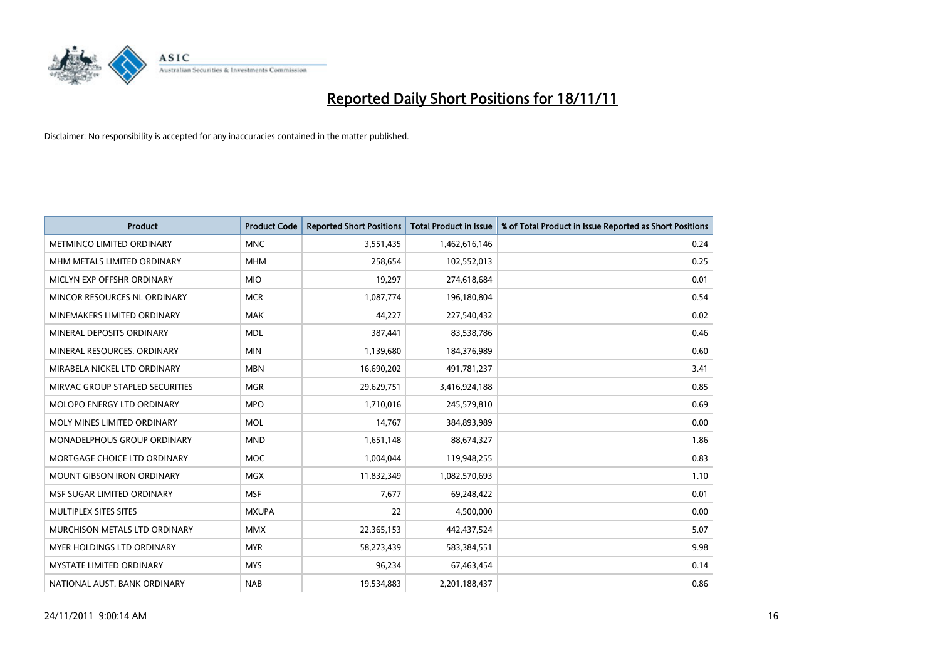

| <b>Product</b>                     | <b>Product Code</b> | <b>Reported Short Positions</b> | <b>Total Product in Issue</b> | % of Total Product in Issue Reported as Short Positions |
|------------------------------------|---------------------|---------------------------------|-------------------------------|---------------------------------------------------------|
| <b>METMINCO LIMITED ORDINARY</b>   | <b>MNC</b>          | 3,551,435                       | 1,462,616,146                 | 0.24                                                    |
| MHM METALS LIMITED ORDINARY        | <b>MHM</b>          | 258,654                         | 102,552,013                   | 0.25                                                    |
| MICLYN EXP OFFSHR ORDINARY         | <b>MIO</b>          | 19,297                          | 274,618,684                   | 0.01                                                    |
| MINCOR RESOURCES NL ORDINARY       | <b>MCR</b>          | 1,087,774                       | 196,180,804                   | 0.54                                                    |
| MINEMAKERS LIMITED ORDINARY        | <b>MAK</b>          | 44,227                          | 227,540,432                   | 0.02                                                    |
| MINERAL DEPOSITS ORDINARY          | <b>MDL</b>          | 387,441                         | 83,538,786                    | 0.46                                                    |
| MINERAL RESOURCES, ORDINARY        | <b>MIN</b>          | 1,139,680                       | 184,376,989                   | 0.60                                                    |
| MIRABELA NICKEL LTD ORDINARY       | <b>MBN</b>          | 16,690,202                      | 491,781,237                   | 3.41                                                    |
| MIRVAC GROUP STAPLED SECURITIES    | <b>MGR</b>          | 29,629,751                      | 3,416,924,188                 | 0.85                                                    |
| MOLOPO ENERGY LTD ORDINARY         | <b>MPO</b>          | 1,710,016                       | 245,579,810                   | 0.69                                                    |
| MOLY MINES LIMITED ORDINARY        | <b>MOL</b>          | 14,767                          | 384,893,989                   | 0.00                                                    |
| <b>MONADELPHOUS GROUP ORDINARY</b> | <b>MND</b>          | 1,651,148                       | 88,674,327                    | 1.86                                                    |
| MORTGAGE CHOICE LTD ORDINARY       | <b>MOC</b>          | 1,004,044                       | 119,948,255                   | 0.83                                                    |
| <b>MOUNT GIBSON IRON ORDINARY</b>  | <b>MGX</b>          | 11,832,349                      | 1,082,570,693                 | 1.10                                                    |
| MSF SUGAR LIMITED ORDINARY         | <b>MSF</b>          | 7,677                           | 69,248,422                    | 0.01                                                    |
| MULTIPLEX SITES SITES              | <b>MXUPA</b>        | 22                              | 4,500,000                     | 0.00                                                    |
| MURCHISON METALS LTD ORDINARY      | <b>MMX</b>          | 22,365,153                      | 442,437,524                   | 5.07                                                    |
| MYER HOLDINGS LTD ORDINARY         | <b>MYR</b>          | 58,273,439                      | 583,384,551                   | 9.98                                                    |
| <b>MYSTATE LIMITED ORDINARY</b>    | <b>MYS</b>          | 96,234                          | 67,463,454                    | 0.14                                                    |
| NATIONAL AUST. BANK ORDINARY       | <b>NAB</b>          | 19,534,883                      | 2,201,188,437                 | 0.86                                                    |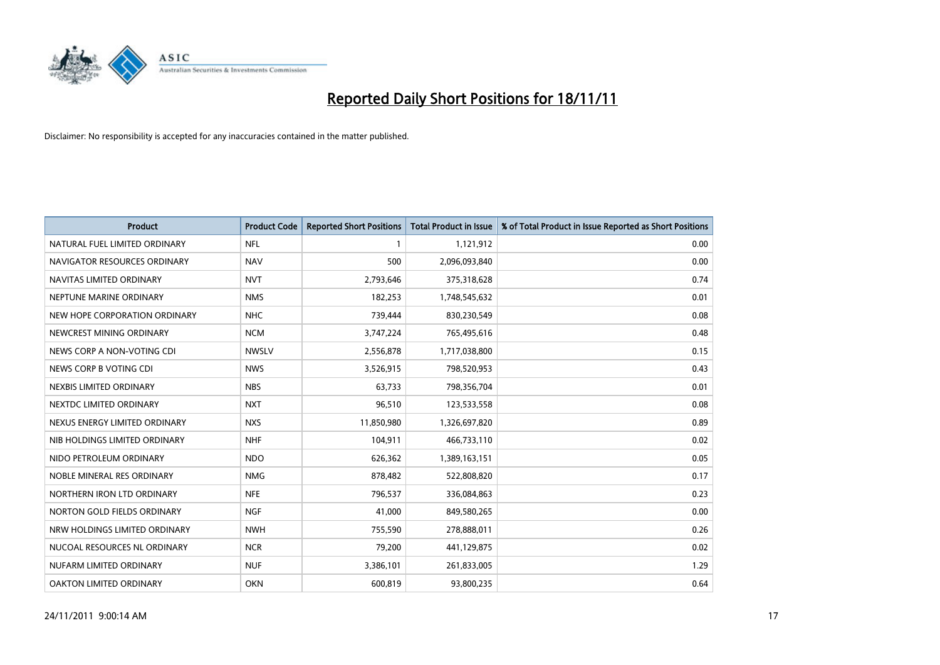

| <b>Product</b>                | <b>Product Code</b> | <b>Reported Short Positions</b> | Total Product in Issue | % of Total Product in Issue Reported as Short Positions |
|-------------------------------|---------------------|---------------------------------|------------------------|---------------------------------------------------------|
| NATURAL FUEL LIMITED ORDINARY | <b>NFL</b>          |                                 | 1,121,912              | 0.00                                                    |
| NAVIGATOR RESOURCES ORDINARY  | <b>NAV</b>          | 500                             | 2,096,093,840          | 0.00                                                    |
| NAVITAS LIMITED ORDINARY      | <b>NVT</b>          | 2,793,646                       | 375,318,628            | 0.74                                                    |
| NEPTUNE MARINE ORDINARY       | <b>NMS</b>          | 182,253                         | 1,748,545,632          | 0.01                                                    |
| NEW HOPE CORPORATION ORDINARY | <b>NHC</b>          | 739,444                         | 830,230,549            | 0.08                                                    |
| NEWCREST MINING ORDINARY      | <b>NCM</b>          | 3,747,224                       | 765,495,616            | 0.48                                                    |
| NEWS CORP A NON-VOTING CDI    | <b>NWSLV</b>        | 2,556,878                       | 1,717,038,800          | 0.15                                                    |
| NEWS CORP B VOTING CDI        | <b>NWS</b>          | 3,526,915                       | 798,520,953            | 0.43                                                    |
| NEXBIS LIMITED ORDINARY       | <b>NBS</b>          | 63,733                          | 798,356,704            | 0.01                                                    |
| NEXTDC LIMITED ORDINARY       | <b>NXT</b>          | 96,510                          | 123,533,558            | 0.08                                                    |
| NEXUS ENERGY LIMITED ORDINARY | <b>NXS</b>          | 11,850,980                      | 1,326,697,820          | 0.89                                                    |
| NIB HOLDINGS LIMITED ORDINARY | <b>NHF</b>          | 104,911                         | 466,733,110            | 0.02                                                    |
| NIDO PETROLEUM ORDINARY       | <b>NDO</b>          | 626,362                         | 1,389,163,151          | 0.05                                                    |
| NOBLE MINERAL RES ORDINARY    | <b>NMG</b>          | 878,482                         | 522,808,820            | 0.17                                                    |
| NORTHERN IRON LTD ORDINARY    | <b>NFE</b>          | 796,537                         | 336,084,863            | 0.23                                                    |
| NORTON GOLD FIELDS ORDINARY   | <b>NGF</b>          | 41,000                          | 849,580,265            | 0.00                                                    |
| NRW HOLDINGS LIMITED ORDINARY | <b>NWH</b>          | 755,590                         | 278,888,011            | 0.26                                                    |
| NUCOAL RESOURCES NL ORDINARY  | <b>NCR</b>          | 79,200                          | 441,129,875            | 0.02                                                    |
| NUFARM LIMITED ORDINARY       | <b>NUF</b>          | 3,386,101                       | 261,833,005            | 1.29                                                    |
| OAKTON LIMITED ORDINARY       | <b>OKN</b>          | 600,819                         | 93,800,235             | 0.64                                                    |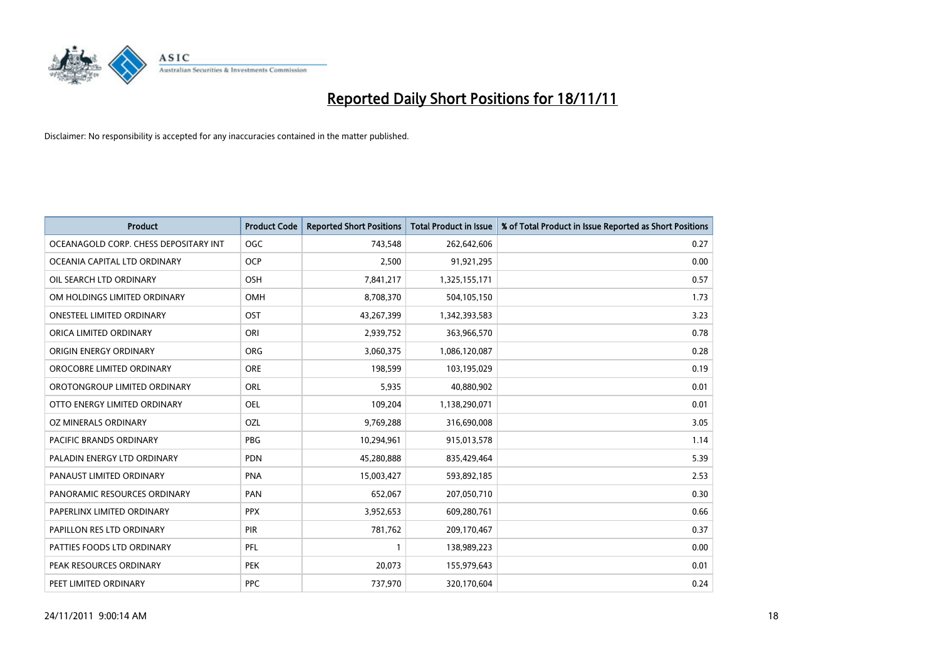

| <b>Product</b>                        | <b>Product Code</b> | <b>Reported Short Positions</b> | <b>Total Product in Issue</b> | % of Total Product in Issue Reported as Short Positions |
|---------------------------------------|---------------------|---------------------------------|-------------------------------|---------------------------------------------------------|
| OCEANAGOLD CORP. CHESS DEPOSITARY INT | <b>OGC</b>          | 743,548                         | 262,642,606                   | 0.27                                                    |
| OCEANIA CAPITAL LTD ORDINARY          | <b>OCP</b>          | 2,500                           | 91,921,295                    | 0.00                                                    |
| OIL SEARCH LTD ORDINARY               | OSH                 | 7,841,217                       | 1,325,155,171                 | 0.57                                                    |
| OM HOLDINGS LIMITED ORDINARY          | OMH                 | 8,708,370                       | 504,105,150                   | 1.73                                                    |
| <b>ONESTEEL LIMITED ORDINARY</b>      | <b>OST</b>          | 43,267,399                      | 1,342,393,583                 | 3.23                                                    |
| ORICA LIMITED ORDINARY                | ORI                 | 2,939,752                       | 363,966,570                   | 0.78                                                    |
| ORIGIN ENERGY ORDINARY                | <b>ORG</b>          | 3,060,375                       | 1,086,120,087                 | 0.28                                                    |
| OROCOBRE LIMITED ORDINARY             | <b>ORE</b>          | 198,599                         | 103,195,029                   | 0.19                                                    |
| OROTONGROUP LIMITED ORDINARY          | <b>ORL</b>          | 5,935                           | 40,880,902                    | 0.01                                                    |
| OTTO ENERGY LIMITED ORDINARY          | <b>OEL</b>          | 109,204                         | 1,138,290,071                 | 0.01                                                    |
| OZ MINERALS ORDINARY                  | OZL                 | 9,769,288                       | 316,690,008                   | 3.05                                                    |
| PACIFIC BRANDS ORDINARY               | <b>PBG</b>          | 10,294,961                      | 915,013,578                   | 1.14                                                    |
| PALADIN ENERGY LTD ORDINARY           | <b>PDN</b>          | 45,280,888                      | 835,429,464                   | 5.39                                                    |
| PANAUST LIMITED ORDINARY              | <b>PNA</b>          | 15,003,427                      | 593,892,185                   | 2.53                                                    |
| PANORAMIC RESOURCES ORDINARY          | PAN                 | 652,067                         | 207,050,710                   | 0.30                                                    |
| PAPERLINX LIMITED ORDINARY            | <b>PPX</b>          | 3,952,653                       | 609,280,761                   | 0.66                                                    |
| PAPILLON RES LTD ORDINARY             | PIR                 | 781,762                         | 209,170,467                   | 0.37                                                    |
| PATTIES FOODS LTD ORDINARY            | PFL                 |                                 | 138,989,223                   | 0.00                                                    |
| PEAK RESOURCES ORDINARY               | <b>PEK</b>          | 20,073                          | 155,979,643                   | 0.01                                                    |
| PEET LIMITED ORDINARY                 | <b>PPC</b>          | 737,970                         | 320,170,604                   | 0.24                                                    |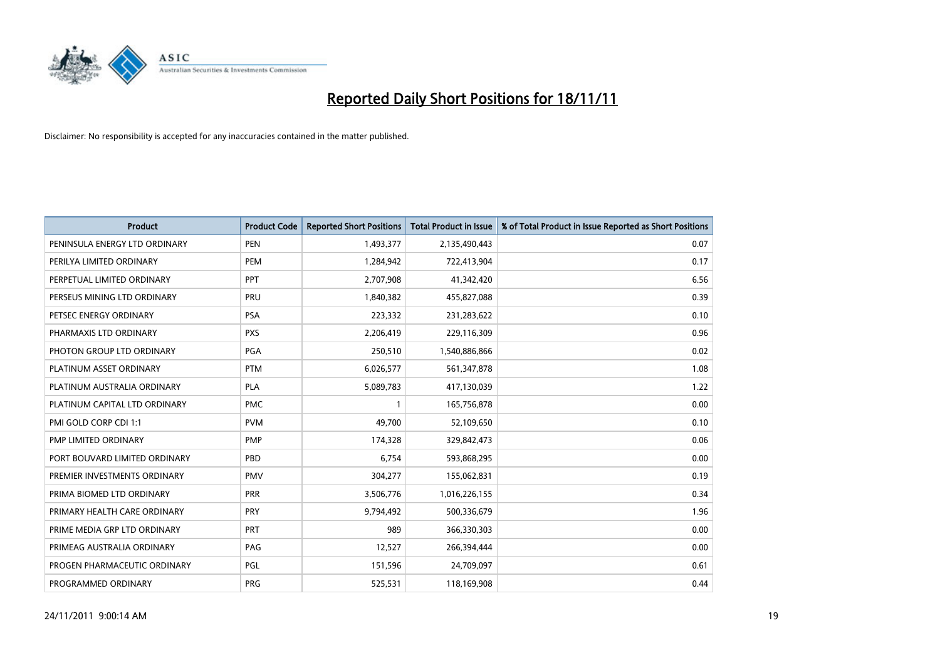

| <b>Product</b>                | <b>Product Code</b> | <b>Reported Short Positions</b> | <b>Total Product in Issue</b> | % of Total Product in Issue Reported as Short Positions |
|-------------------------------|---------------------|---------------------------------|-------------------------------|---------------------------------------------------------|
| PENINSULA ENERGY LTD ORDINARY | <b>PEN</b>          | 1,493,377                       | 2,135,490,443                 | 0.07                                                    |
| PERILYA LIMITED ORDINARY      | PEM                 | 1,284,942                       | 722,413,904                   | 0.17                                                    |
| PERPETUAL LIMITED ORDINARY    | PPT                 | 2,707,908                       | 41,342,420                    | 6.56                                                    |
| PERSEUS MINING LTD ORDINARY   | PRU                 | 1,840,382                       | 455,827,088                   | 0.39                                                    |
| PETSEC ENERGY ORDINARY        | <b>PSA</b>          | 223,332                         | 231,283,622                   | 0.10                                                    |
| PHARMAXIS LTD ORDINARY        | <b>PXS</b>          | 2,206,419                       | 229,116,309                   | 0.96                                                    |
| PHOTON GROUP LTD ORDINARY     | <b>PGA</b>          | 250,510                         | 1,540,886,866                 | 0.02                                                    |
| PLATINUM ASSET ORDINARY       | <b>PTM</b>          | 6,026,577                       | 561,347,878                   | 1.08                                                    |
| PLATINUM AUSTRALIA ORDINARY   | <b>PLA</b>          | 5,089,783                       | 417,130,039                   | 1.22                                                    |
| PLATINUM CAPITAL LTD ORDINARY | <b>PMC</b>          |                                 | 165,756,878                   | 0.00                                                    |
| PMI GOLD CORP CDI 1:1         | <b>PVM</b>          | 49,700                          | 52,109,650                    | 0.10                                                    |
| PMP LIMITED ORDINARY          | <b>PMP</b>          | 174,328                         | 329,842,473                   | 0.06                                                    |
| PORT BOUVARD LIMITED ORDINARY | PBD                 | 6,754                           | 593,868,295                   | 0.00                                                    |
| PREMIER INVESTMENTS ORDINARY  | <b>PMV</b>          | 304,277                         | 155,062,831                   | 0.19                                                    |
| PRIMA BIOMED LTD ORDINARY     | <b>PRR</b>          | 3,506,776                       | 1,016,226,155                 | 0.34                                                    |
| PRIMARY HEALTH CARE ORDINARY  | <b>PRY</b>          | 9,794,492                       | 500,336,679                   | 1.96                                                    |
| PRIME MEDIA GRP LTD ORDINARY  | <b>PRT</b>          | 989                             | 366,330,303                   | 0.00                                                    |
| PRIMEAG AUSTRALIA ORDINARY    | PAG                 | 12,527                          | 266,394,444                   | 0.00                                                    |
| PROGEN PHARMACEUTIC ORDINARY  | <b>PGL</b>          | 151,596                         | 24,709,097                    | 0.61                                                    |
| PROGRAMMED ORDINARY           | <b>PRG</b>          | 525,531                         | 118,169,908                   | 0.44                                                    |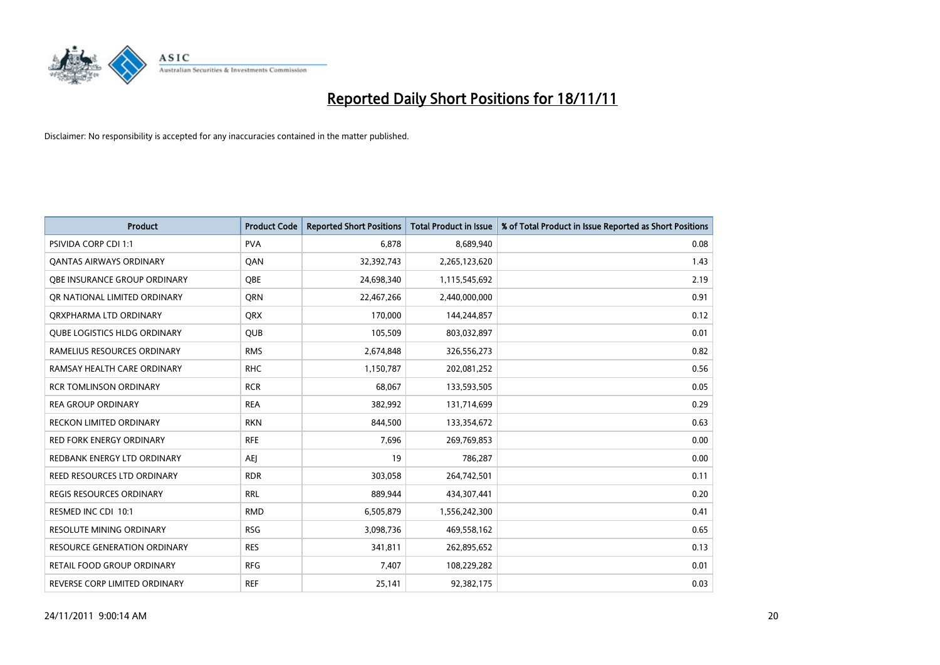

| <b>Product</b>                      | <b>Product Code</b> | <b>Reported Short Positions</b> | <b>Total Product in Issue</b> | % of Total Product in Issue Reported as Short Positions |
|-------------------------------------|---------------------|---------------------------------|-------------------------------|---------------------------------------------------------|
| <b>PSIVIDA CORP CDI 1:1</b>         | <b>PVA</b>          | 6.878                           | 8,689,940                     | 0.08                                                    |
| <b>QANTAS AIRWAYS ORDINARY</b>      | QAN                 | 32,392,743                      | 2,265,123,620                 | 1.43                                                    |
| <b>OBE INSURANCE GROUP ORDINARY</b> | OBE                 | 24,698,340                      | 1,115,545,692                 | 2.19                                                    |
| OR NATIONAL LIMITED ORDINARY        | <b>ORN</b>          | 22,467,266                      | 2,440,000,000                 | 0.91                                                    |
| ORXPHARMA LTD ORDINARY              | <b>ORX</b>          | 170,000                         | 144,244,857                   | 0.12                                                    |
| <b>QUBE LOGISTICS HLDG ORDINARY</b> | <b>QUB</b>          | 105,509                         | 803,032,897                   | 0.01                                                    |
| RAMELIUS RESOURCES ORDINARY         | <b>RMS</b>          | 2,674,848                       | 326,556,273                   | 0.82                                                    |
| RAMSAY HEALTH CARE ORDINARY         | <b>RHC</b>          | 1,150,787                       | 202,081,252                   | 0.56                                                    |
| <b>RCR TOMLINSON ORDINARY</b>       | <b>RCR</b>          | 68,067                          | 133,593,505                   | 0.05                                                    |
| <b>REA GROUP ORDINARY</b>           | <b>REA</b>          | 382,992                         | 131,714,699                   | 0.29                                                    |
| <b>RECKON LIMITED ORDINARY</b>      | <b>RKN</b>          | 844,500                         | 133,354,672                   | 0.63                                                    |
| <b>RED FORK ENERGY ORDINARY</b>     | <b>RFE</b>          | 7,696                           | 269,769,853                   | 0.00                                                    |
| REDBANK ENERGY LTD ORDINARY         | <b>AEI</b>          | 19                              | 786,287                       | 0.00                                                    |
| REED RESOURCES LTD ORDINARY         | <b>RDR</b>          | 303,058                         | 264,742,501                   | 0.11                                                    |
| <b>REGIS RESOURCES ORDINARY</b>     | <b>RRL</b>          | 889,944                         | 434,307,441                   | 0.20                                                    |
| RESMED INC CDI 10:1                 | <b>RMD</b>          | 6,505,879                       | 1,556,242,300                 | 0.41                                                    |
| RESOLUTE MINING ORDINARY            | <b>RSG</b>          | 3,098,736                       | 469,558,162                   | 0.65                                                    |
| RESOURCE GENERATION ORDINARY        | <b>RES</b>          | 341,811                         | 262,895,652                   | 0.13                                                    |
| <b>RETAIL FOOD GROUP ORDINARY</b>   | <b>RFG</b>          | 7,407                           | 108,229,282                   | 0.01                                                    |
| REVERSE CORP LIMITED ORDINARY       | <b>REF</b>          | 25,141                          | 92,382,175                    | 0.03                                                    |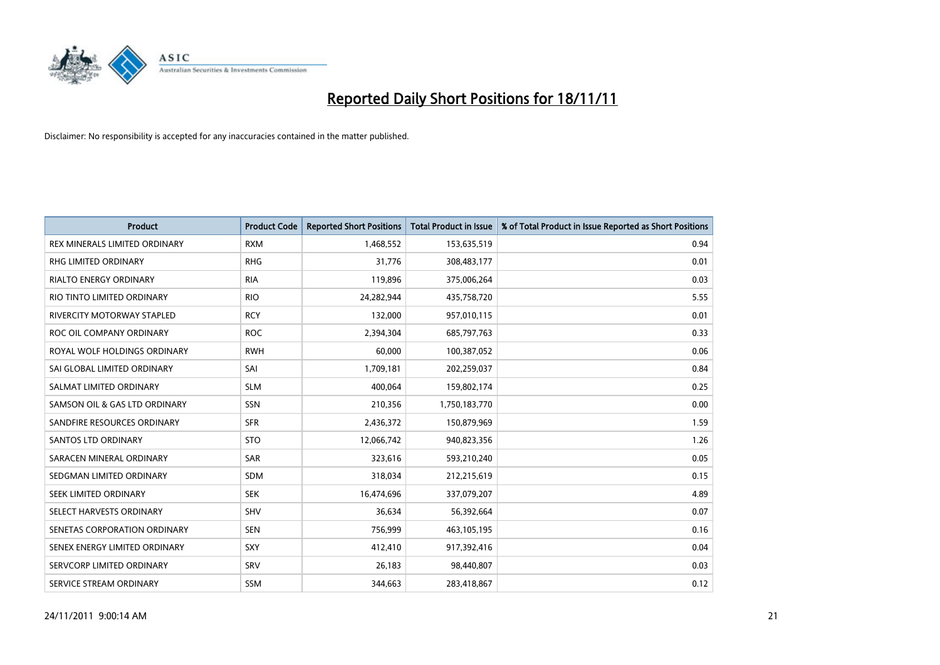

| <b>Product</b>                    | <b>Product Code</b> | <b>Reported Short Positions</b> | Total Product in Issue | % of Total Product in Issue Reported as Short Positions |
|-----------------------------------|---------------------|---------------------------------|------------------------|---------------------------------------------------------|
| REX MINERALS LIMITED ORDINARY     | <b>RXM</b>          | 1,468,552                       | 153,635,519            | 0.94                                                    |
| <b>RHG LIMITED ORDINARY</b>       | <b>RHG</b>          | 31,776                          | 308,483,177            | 0.01                                                    |
| <b>RIALTO ENERGY ORDINARY</b>     | <b>RIA</b>          | 119,896                         | 375,006,264            | 0.03                                                    |
| RIO TINTO LIMITED ORDINARY        | <b>RIO</b>          | 24,282,944                      | 435,758,720            | 5.55                                                    |
| <b>RIVERCITY MOTORWAY STAPLED</b> | <b>RCY</b>          | 132.000                         | 957,010,115            | 0.01                                                    |
| ROC OIL COMPANY ORDINARY          | <b>ROC</b>          | 2,394,304                       | 685,797,763            | 0.33                                                    |
| ROYAL WOLF HOLDINGS ORDINARY      | <b>RWH</b>          | 60.000                          | 100,387,052            | 0.06                                                    |
| SAI GLOBAL LIMITED ORDINARY       | SAI                 | 1,709,181                       | 202,259,037            | 0.84                                                    |
| SALMAT LIMITED ORDINARY           | <b>SLM</b>          | 400,064                         | 159,802,174            | 0.25                                                    |
| SAMSON OIL & GAS LTD ORDINARY     | SSN                 | 210,356                         | 1,750,183,770          | 0.00                                                    |
| SANDFIRE RESOURCES ORDINARY       | <b>SFR</b>          | 2,436,372                       | 150,879,969            | 1.59                                                    |
| <b>SANTOS LTD ORDINARY</b>        | <b>STO</b>          | 12,066,742                      | 940,823,356            | 1.26                                                    |
| SARACEN MINERAL ORDINARY          | SAR                 | 323,616                         | 593,210,240            | 0.05                                                    |
| SEDGMAN LIMITED ORDINARY          | <b>SDM</b>          | 318,034                         | 212,215,619            | 0.15                                                    |
| SEEK LIMITED ORDINARY             | <b>SEK</b>          | 16,474,696                      | 337,079,207            | 4.89                                                    |
| SELECT HARVESTS ORDINARY          | SHV                 | 36,634                          | 56,392,664             | 0.07                                                    |
| SENETAS CORPORATION ORDINARY      | <b>SEN</b>          | 756,999                         | 463,105,195            | 0.16                                                    |
| SENEX ENERGY LIMITED ORDINARY     | <b>SXY</b>          | 412,410                         | 917,392,416            | 0.04                                                    |
| SERVCORP LIMITED ORDINARY         | SRV                 | 26,183                          | 98,440,807             | 0.03                                                    |
| SERVICE STREAM ORDINARY           | <b>SSM</b>          | 344.663                         | 283,418,867            | 0.12                                                    |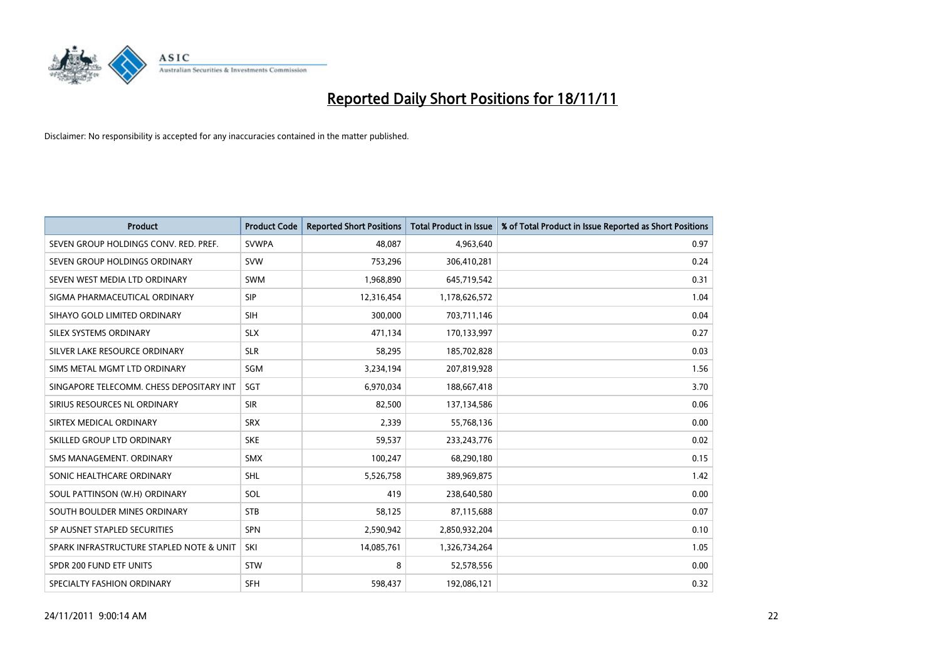

| <b>Product</b>                           | <b>Product Code</b> | <b>Reported Short Positions</b> | <b>Total Product in Issue</b> | % of Total Product in Issue Reported as Short Positions |
|------------------------------------------|---------------------|---------------------------------|-------------------------------|---------------------------------------------------------|
| SEVEN GROUP HOLDINGS CONV. RED. PREF.    | <b>SVWPA</b>        | 48.087                          | 4,963,640                     | 0.97                                                    |
| SEVEN GROUP HOLDINGS ORDINARY            | <b>SVW</b>          | 753,296                         | 306,410,281                   | 0.24                                                    |
| SEVEN WEST MEDIA LTD ORDINARY            | <b>SWM</b>          | 1,968,890                       | 645,719,542                   | 0.31                                                    |
| SIGMA PHARMACEUTICAL ORDINARY            | <b>SIP</b>          | 12,316,454                      | 1,178,626,572                 | 1.04                                                    |
| SIHAYO GOLD LIMITED ORDINARY             | <b>SIH</b>          | 300,000                         | 703,711,146                   | 0.04                                                    |
| SILEX SYSTEMS ORDINARY                   | <b>SLX</b>          | 471,134                         | 170,133,997                   | 0.27                                                    |
| SILVER LAKE RESOURCE ORDINARY            | <b>SLR</b>          | 58,295                          | 185,702,828                   | 0.03                                                    |
| SIMS METAL MGMT LTD ORDINARY             | SGM                 | 3,234,194                       | 207,819,928                   | 1.56                                                    |
| SINGAPORE TELECOMM. CHESS DEPOSITARY INT | <b>SGT</b>          | 6,970,034                       | 188,667,418                   | 3.70                                                    |
| SIRIUS RESOURCES NL ORDINARY             | <b>SIR</b>          | 82,500                          | 137,134,586                   | 0.06                                                    |
| SIRTEX MEDICAL ORDINARY                  | <b>SRX</b>          | 2,339                           | 55,768,136                    | 0.00                                                    |
| SKILLED GROUP LTD ORDINARY               | <b>SKE</b>          | 59,537                          | 233, 243, 776                 | 0.02                                                    |
| SMS MANAGEMENT. ORDINARY                 | <b>SMX</b>          | 100,247                         | 68,290,180                    | 0.15                                                    |
| SONIC HEALTHCARE ORDINARY                | <b>SHL</b>          | 5,526,758                       | 389,969,875                   | 1.42                                                    |
| SOUL PATTINSON (W.H) ORDINARY            | SOL                 | 419                             | 238,640,580                   | 0.00                                                    |
| SOUTH BOULDER MINES ORDINARY             | <b>STB</b>          | 58,125                          | 87,115,688                    | 0.07                                                    |
| SP AUSNET STAPLED SECURITIES             | <b>SPN</b>          | 2,590,942                       | 2,850,932,204                 | 0.10                                                    |
| SPARK INFRASTRUCTURE STAPLED NOTE & UNIT | SKI                 | 14,085,761                      | 1,326,734,264                 | 1.05                                                    |
| SPDR 200 FUND ETF UNITS                  | <b>STW</b>          | 8                               | 52,578,556                    | 0.00                                                    |
| SPECIALTY FASHION ORDINARY               | <b>SFH</b>          | 598,437                         | 192,086,121                   | 0.32                                                    |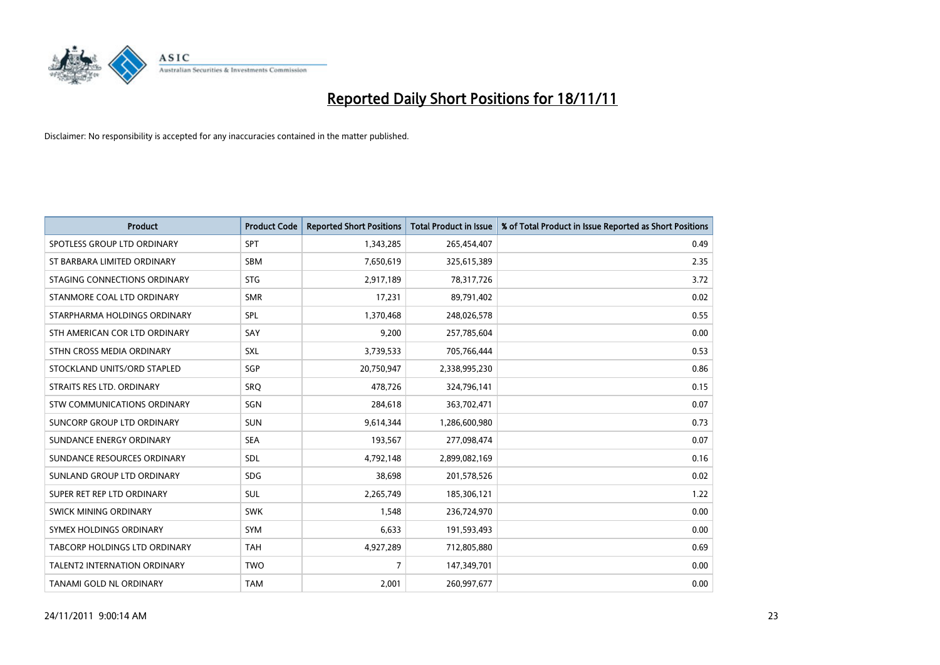

| <b>Product</b>                      | <b>Product Code</b> | <b>Reported Short Positions</b> | <b>Total Product in Issue</b> | % of Total Product in Issue Reported as Short Positions |
|-------------------------------------|---------------------|---------------------------------|-------------------------------|---------------------------------------------------------|
| SPOTLESS GROUP LTD ORDINARY         | <b>SPT</b>          | 1,343,285                       | 265,454,407                   | 0.49                                                    |
| ST BARBARA LIMITED ORDINARY         | <b>SBM</b>          | 7,650,619                       | 325,615,389                   | 2.35                                                    |
| STAGING CONNECTIONS ORDINARY        | <b>STG</b>          | 2,917,189                       | 78,317,726                    | 3.72                                                    |
| STANMORE COAL LTD ORDINARY          | <b>SMR</b>          | 17,231                          | 89,791,402                    | 0.02                                                    |
| STARPHARMA HOLDINGS ORDINARY        | <b>SPL</b>          | 1,370,468                       | 248,026,578                   | 0.55                                                    |
| STH AMERICAN COR LTD ORDINARY       | SAY                 | 9,200                           | 257,785,604                   | 0.00                                                    |
| STHN CROSS MEDIA ORDINARY           | <b>SXL</b>          | 3,739,533                       | 705,766,444                   | 0.53                                                    |
| STOCKLAND UNITS/ORD STAPLED         | SGP                 | 20,750,947                      | 2,338,995,230                 | 0.86                                                    |
| STRAITS RES LTD. ORDINARY           | SRO                 | 478,726                         | 324,796,141                   | 0.15                                                    |
| STW COMMUNICATIONS ORDINARY         | SGN                 | 284,618                         | 363,702,471                   | 0.07                                                    |
| SUNCORP GROUP LTD ORDINARY          | <b>SUN</b>          | 9,614,344                       | 1,286,600,980                 | 0.73                                                    |
| SUNDANCE ENERGY ORDINARY            | <b>SEA</b>          | 193,567                         | 277,098,474                   | 0.07                                                    |
| SUNDANCE RESOURCES ORDINARY         | <b>SDL</b>          | 4,792,148                       | 2,899,082,169                 | 0.16                                                    |
| SUNLAND GROUP LTD ORDINARY          | <b>SDG</b>          | 38,698                          | 201,578,526                   | 0.02                                                    |
| SUPER RET REP LTD ORDINARY          | <b>SUL</b>          | 2,265,749                       | 185,306,121                   | 1.22                                                    |
| SWICK MINING ORDINARY               | <b>SWK</b>          | 1,548                           | 236,724,970                   | 0.00                                                    |
| SYMEX HOLDINGS ORDINARY             | <b>SYM</b>          | 6,633                           | 191,593,493                   | 0.00                                                    |
| TABCORP HOLDINGS LTD ORDINARY       | <b>TAH</b>          | 4,927,289                       | 712,805,880                   | 0.69                                                    |
| <b>TALENT2 INTERNATION ORDINARY</b> | <b>TWO</b>          | 7                               | 147,349,701                   | 0.00                                                    |
| TANAMI GOLD NL ORDINARY             | <b>TAM</b>          | 2,001                           | 260,997,677                   | 0.00                                                    |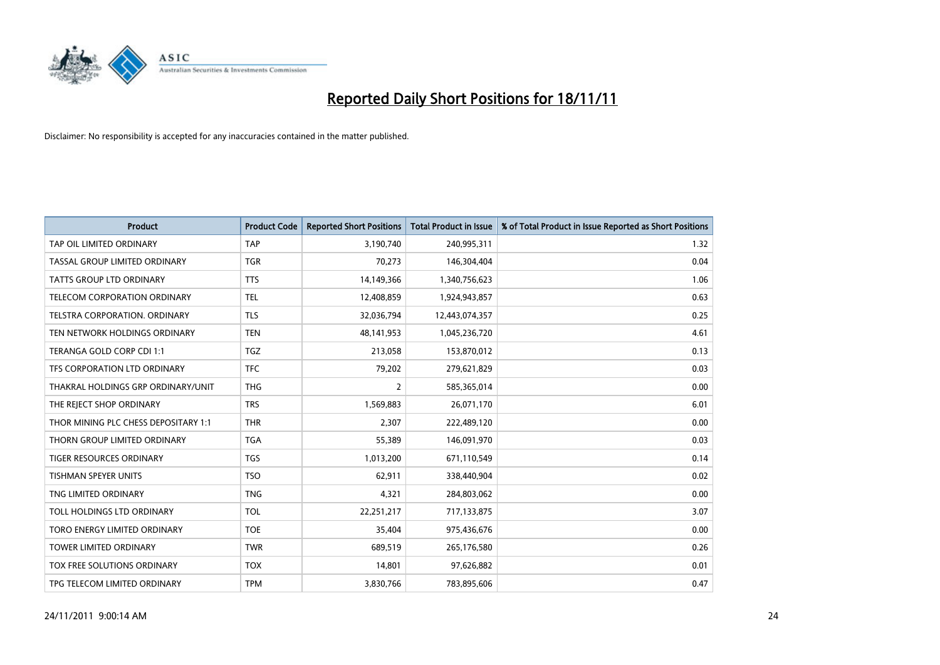

| <b>Product</b>                       | <b>Product Code</b> | <b>Reported Short Positions</b> | <b>Total Product in Issue</b> | % of Total Product in Issue Reported as Short Positions |
|--------------------------------------|---------------------|---------------------------------|-------------------------------|---------------------------------------------------------|
| TAP OIL LIMITED ORDINARY             | <b>TAP</b>          | 3,190,740                       | 240,995,311                   | 1.32                                                    |
| TASSAL GROUP LIMITED ORDINARY        | <b>TGR</b>          | 70,273                          | 146,304,404                   | 0.04                                                    |
| <b>TATTS GROUP LTD ORDINARY</b>      | <b>TTS</b>          | 14,149,366                      | 1,340,756,623                 | 1.06                                                    |
| TELECOM CORPORATION ORDINARY         | <b>TEL</b>          | 12,408,859                      | 1,924,943,857                 | 0.63                                                    |
| <b>TELSTRA CORPORATION, ORDINARY</b> | <b>TLS</b>          | 32,036,794                      | 12,443,074,357                | 0.25                                                    |
| TEN NETWORK HOLDINGS ORDINARY        | <b>TEN</b>          | 48, 141, 953                    | 1,045,236,720                 | 4.61                                                    |
| TERANGA GOLD CORP CDI 1:1            | <b>TGZ</b>          | 213,058                         | 153,870,012                   | 0.13                                                    |
| TFS CORPORATION LTD ORDINARY         | <b>TFC</b>          | 79,202                          | 279,621,829                   | 0.03                                                    |
| THAKRAL HOLDINGS GRP ORDINARY/UNIT   | <b>THG</b>          | 2                               | 585,365,014                   | 0.00                                                    |
| THE REJECT SHOP ORDINARY             | <b>TRS</b>          | 1,569,883                       | 26,071,170                    | 6.01                                                    |
| THOR MINING PLC CHESS DEPOSITARY 1:1 | <b>THR</b>          | 2,307                           | 222,489,120                   | 0.00                                                    |
| THORN GROUP LIMITED ORDINARY         | <b>TGA</b>          | 55,389                          | 146,091,970                   | 0.03                                                    |
| TIGER RESOURCES ORDINARY             | <b>TGS</b>          | 1,013,200                       | 671,110,549                   | 0.14                                                    |
| <b>TISHMAN SPEYER UNITS</b>          | <b>TSO</b>          | 62,911                          | 338,440,904                   | 0.02                                                    |
| TNG LIMITED ORDINARY                 | <b>TNG</b>          | 4,321                           | 284,803,062                   | 0.00                                                    |
| TOLL HOLDINGS LTD ORDINARY           | <b>TOL</b>          | 22,251,217                      | 717,133,875                   | 3.07                                                    |
| TORO ENERGY LIMITED ORDINARY         | <b>TOE</b>          | 35,404                          | 975,436,676                   | 0.00                                                    |
| TOWER LIMITED ORDINARY               | <b>TWR</b>          | 689,519                         | 265,176,580                   | 0.26                                                    |
| TOX FREE SOLUTIONS ORDINARY          | <b>TOX</b>          | 14,801                          | 97,626,882                    | 0.01                                                    |
| TPG TELECOM LIMITED ORDINARY         | <b>TPM</b>          | 3,830,766                       | 783,895,606                   | 0.47                                                    |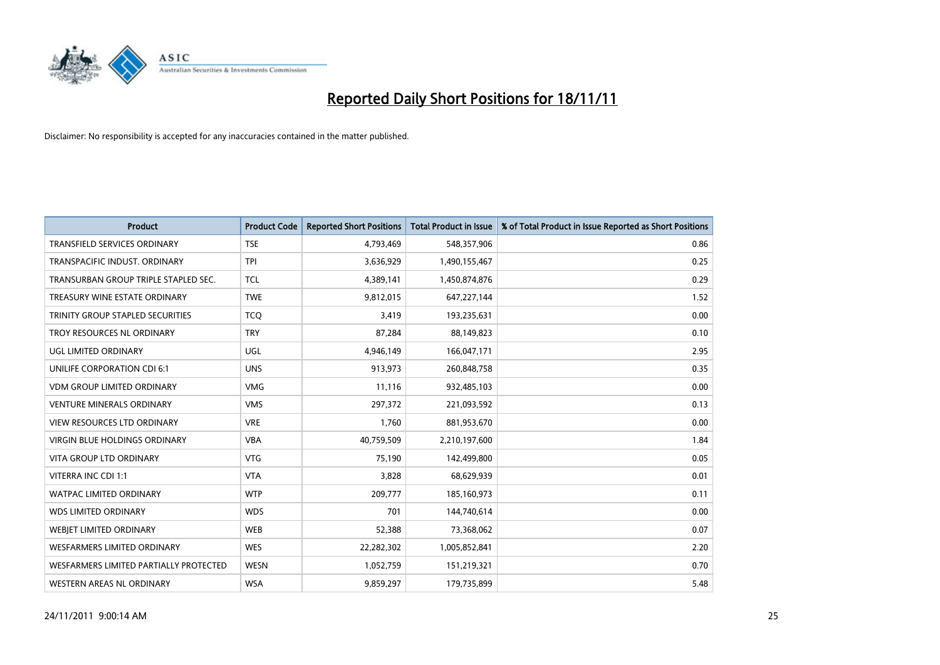

| <b>Product</b>                          | <b>Product Code</b> | <b>Reported Short Positions</b> | <b>Total Product in Issue</b> | % of Total Product in Issue Reported as Short Positions |
|-----------------------------------------|---------------------|---------------------------------|-------------------------------|---------------------------------------------------------|
| <b>TRANSFIELD SERVICES ORDINARY</b>     | <b>TSE</b>          | 4,793,469                       | 548,357,906                   | 0.86                                                    |
| TRANSPACIFIC INDUST. ORDINARY           | <b>TPI</b>          | 3,636,929                       | 1,490,155,467                 | 0.25                                                    |
| TRANSURBAN GROUP TRIPLE STAPLED SEC.    | <b>TCL</b>          | 4,389,141                       | 1,450,874,876                 | 0.29                                                    |
| TREASURY WINE ESTATE ORDINARY           | <b>TWE</b>          | 9,812,015                       | 647,227,144                   | 1.52                                                    |
| <b>TRINITY GROUP STAPLED SECURITIES</b> | <b>TCO</b>          | 3,419                           | 193,235,631                   | 0.00                                                    |
| TROY RESOURCES NL ORDINARY              | <b>TRY</b>          | 87,284                          | 88,149,823                    | 0.10                                                    |
| UGL LIMITED ORDINARY                    | UGL                 | 4,946,149                       | 166,047,171                   | 2.95                                                    |
| UNILIFE CORPORATION CDI 6:1             | <b>UNS</b>          | 913,973                         | 260,848,758                   | 0.35                                                    |
| <b>VDM GROUP LIMITED ORDINARY</b>       | <b>VMG</b>          | 11,116                          | 932,485,103                   | 0.00                                                    |
| <b>VENTURE MINERALS ORDINARY</b>        | <b>VMS</b>          | 297,372                         | 221,093,592                   | 0.13                                                    |
| <b>VIEW RESOURCES LTD ORDINARY</b>      | <b>VRE</b>          | 1,760                           | 881,953,670                   | 0.00                                                    |
| <b>VIRGIN BLUE HOLDINGS ORDINARY</b>    | <b>VBA</b>          | 40,759,509                      | 2,210,197,600                 | 1.84                                                    |
| <b>VITA GROUP LTD ORDINARY</b>          | <b>VTG</b>          | 75,190                          | 142,499,800                   | 0.05                                                    |
| VITERRA INC CDI 1:1                     | <b>VTA</b>          | 3,828                           | 68,629,939                    | 0.01                                                    |
| <b>WATPAC LIMITED ORDINARY</b>          | <b>WTP</b>          | 209,777                         | 185,160,973                   | 0.11                                                    |
| <b>WDS LIMITED ORDINARY</b>             | <b>WDS</b>          | 701                             | 144,740,614                   | 0.00                                                    |
| WEBIET LIMITED ORDINARY                 | <b>WEB</b>          | 52,388                          | 73,368,062                    | 0.07                                                    |
| <b>WESFARMERS LIMITED ORDINARY</b>      | <b>WES</b>          | 22,282,302                      | 1,005,852,841                 | 2.20                                                    |
| WESFARMERS LIMITED PARTIALLY PROTECTED  | <b>WESN</b>         | 1,052,759                       | 151,219,321                   | 0.70                                                    |
| WESTERN AREAS NL ORDINARY               | <b>WSA</b>          | 9,859,297                       | 179,735,899                   | 5.48                                                    |